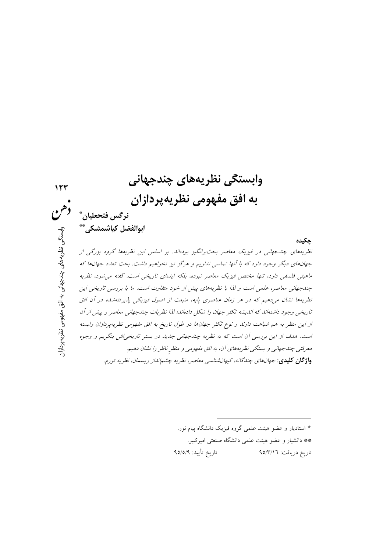وابستگي نظريههاي چندجهاني 12 به افق مفهومي نظريهپردازان نرگس فتحعلیان ٌ ابوالفضل كياشمشكي\*\* وابستگی نظریههای چندجهانی به افق مفهومی نظریهپردازار: حكىدە نظریههای چندجهانی در فیزیک معاصر بحث برانگیز بودهاند. بر اساس این نظریهها گروه بزرگی از جهانهای دیگر وجود دارد که با آنها تماسی نداریم و هرگز نیز نخواهیم داشت. بحث تعدد جهانها که ماهیتی فلسفی دارد، تنها مختص فیزیک معاصر نبوده، بلکه ایدهای تاریخی است. گفته می شود، نظریه چند جهانی معاصر، علمی است و لذا با نظریههای پیش از خود متفاوت است. ما با بررسی تاریخی این نظریهها نشان میدهیم که در هر زمان عناصری پایه، منبعث از اصول فیزیکی پذیرفتهشده در آن افق تاریخی وجود داشتهاند که اندیشه تکثر جهان را شکل دادهاند؛ لذا نظریات چندجهانی معاصر و پیش از آن از این منظر به هم شباهت دارند و نوع تکثر جهانها در طول تاریخ به افق مفهومی نظریهپردازان وابسته است. هدف از این بررسی آن است که به نظریه چندجهانی جدید در بستر تاریخی ش بنگریم و وجوه معرفتبي چند جهانبي و بستگي نظريههاي آن، به افق مفهومبي و منظر ناظر را نشان دهيم. واژگان كليدي: *جهانهاي چندگانه، كيهانشناسي معاصر، نظريه چشمانداز ريسمان، نظريه تورم.* 

\* استادیار و عضو هیئت علمی گروه فیزیک دانشگاه پیام نور. \*\* دانشیار و عضو هیئت علمی دانشگاه صنعتی امیرکبیر. تاريخ تأييد: ٩٥/٥/٩ تاريخ دريافت: ٩٥/٣/١٦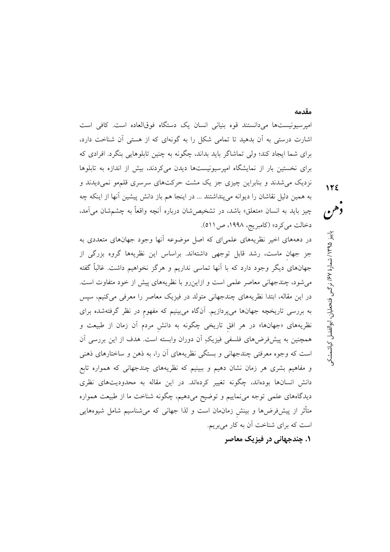اميرسيونيستها مي<انستند قوه بنياني انسان يک دستگاه فوقالعاده است. کافي است اشارت درستی به آن بدهید تا تمامی شکل را به گونهای که از هستی آن شناخت دارد، برای شما ایجاد کند؛ ولی تماشاگر باید بداند، چگونه به چنین تابلوهایی بنگرد. افرادی که برای نخستین بار از نمایشگاه امیرسیونیستها دیدن می کردند، بیش از اندازه به تابلوها نزدیک می شدند و بنابراین چیزی جز یک مشت حرکتهای سرسری قلمهو نمی دیدند و به همین دلیل نقاشان را دیوانه می پنداشتند ... در اینجا هم باز دانش پیشین آنها از اینکه چه چيز بايد به انسان «متعلق» باشد، در تشخيص شان درباره أنچه واقعاً به چشمشان مي آمد، دخالت مي كرد» (كامبريج، ١٩٩٨، ص ٥١١).

در دهههای اخیر نظریههای علمیای که اصل موضوعه آنها وجود جهانهای متعددی به جز جهان ماست، رشد قابل توجهي داشتهاند. براساس اين نظريهها گروه بزرگي از جهانهای دیگر وجود دارد که با آنها تماسی نداریم و هرگز نخواهیم داشت. غالباً گفته می شود، چندجهانی معاصر علمی است و ازاین رو با نظریههای پیش از خود متفاوت است. در این مقاله، ابتدا نظریههای چندجهانی متولد در فیزیک معاصر را معرفی میکنیم، سپس به بررسی تاریخچه جهانها میپردازیم. آنگاه میبینیم که مفهوم در نظر گرفتهشده برای نظریههای «جهانها» در هر افق تاریخی چگونه به دانش مردم آن زمان از طبیعت و همچنین به پیشفرضهای فلسفی فیزیکِ اَن دوران وابسته است. هدف از این بررسی اَن است که وجوه معرفتی چندجهانی و بستگی نظریههای آن را، به ذهن و ساختارهای ذهنی و مفاهیم بشری هر زمان نشان دهیم و ببینیم که نظریههای چندجهانی که همواره تابع دانش انسانها بودهاند، چگونه تغییر کردهاند. در این مقاله به محدودیتهای نظری دیدگاههای علمی توجه میiماییم و توضیح میدهیم، چگونه شناخت ما از طبیعت همواره متأثر از پیشفررضها و بینش زمان0مان است و لذا جهانی که میشناسیم شامل شیوههایی است که برای شناخت آن به کار میبریم.

**۱. چندجهانی در فیزیک معاصر** 

دهن پاییز ۱۳۹۵/ شمارهٔ ۶۷٪ نرگس فتحطیان، ابوالفضل کیاشمشکو

125

مقدمه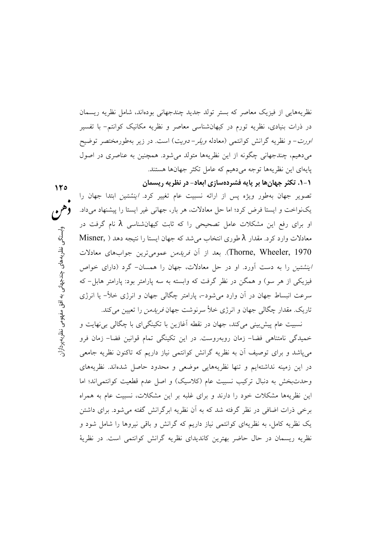نظریههایی از فیزیک معاصر که بستر تولد جدید چندجهانی بودهاند، شامل نظریه ریسمان در ذرات بنیادی، نظریه تورم در کیهانشناسی معاصر و نظریه مکانیک کوانتم– با تفسیر /ورت- و نظریه گرانش کوانتمی (معادله *ویلر- دویت*) است. در زیر بهطورمختصر توضیح میدهیم، چندجهانی چگونه از این نظریهها متولد میشود. همچنین به عناصری در اصول یایهای این نظریهها توجه میدهیم که عامل تکثر جهانها هستند.

۱-۱. تکثر جهانها بر پایه فشردهسازی ابعاد- در نظریه ریسمان

تصویر جهان بهطور ویژه پس از ارائه نسبیت عام تغییر کرد. *اینشتین* ابتدا جهان را یکنواخت و ایستا فرض کرد؛ اما حل معادلات، هر بار، جهانی غیر ایستا را پیشنهاد میداد. او برای رفع این مشکلات عامل تصحیحی را که ثابت کیهانشناسی  $\lambda$  نام گرفت در Misner, ) معادلات وارد کرد. مقدار  $\lambda$  طوری انتخاب میشد که جهان ایستا را نتیجه دهد Thorne, Wheeler, 1970). بعد از أن *فريدمن* عموميترين جوابهاي معادلات /ينشتين را به دست آورد. او در حل معادلات، جهان را همسان- گرد (دارای خواص فیزیکی از هر سو) و همگن در نظر گرفت که وابسته به سه پارامتر بود: پارامتر هابل- که سرعت انبساط جهان در اَن وارد می شود-، پارامتر چگالی جهان و انرژی خلأ– یا انرژی تاریک. مقدار چگالی جهان و انرژی خلأ سرنوشت جهان *فریدمن* را تعیین می کند.

نسبیت عام پیش بینی میکند، جهان در نقطه اَغازین با تکینگیای با چگالی بی نهایت و خمیدگی نامتناهی فضا- زمان روبهروست. در این تکینگی تمام قوانین فضا- زمان فرو میپاشد و برای توصیف أن به نظریه گرانش کوانتمی نیاز داریم که تاکنون نظریه جامعی در این زمینه نداشتهایم و تنها نظریههایی موضعی و محدود حاصل شدهاند. نظریههای وحدتبخش به دنبال ترکیب نسبیت عام (کلاسیک) و اصل عدم قطعیت کوانتمی اند؛ اما این نظریهها مشکلات خود را دارند و برای غلبه بر این مشکلات، نسبیت عام به همراه برخی ذرات اضافی در نظر گرفته شد که به آن نظریه ابرگرانش گفته می شود. برای داشتن یک نظریه کامل، به نظریهای کوانتمی نیاز داریم که گرانش و باقی نیروها را شامل شود و نظریه ریسمان در حال حاضر بهترین کاندیدای نظریه گرانش کوانتمی است. در نظریهٔ

 $170$ 

وابستگج

، نظریههای چندجهانی به افق مفهومی نظریهپردازار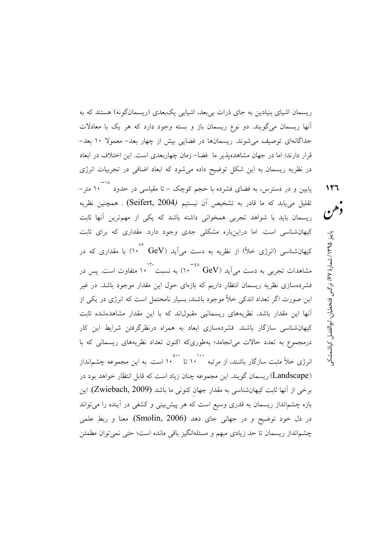ریسمان اشیای بنیادین به جای ذرات بی بعد، اشیایی یک بعدی (ریسمانگونه) هستند که به آنها ریسمان میگویند. دو نوع ریسمان باز و بسته وجود دارد که هر یک با معادلات جداگانهای توصیف میشوند. ریسمانها در فضایی بیش از چهار بعد- معمولا ۱۰ بعد-قرار دارند؛ اما در جهان مشاهدهپذیر ما ً فضا– زمان چهاربعدی است. این اختلاف در ابعاد در نظریه ریسمان به این شکل توضیح داده میشود که ابعاد اضافی در تجربیات انرژی

 $117$ 

وهن

پاییز ۱۳۹۵/ شمارهٔ ۶۷/ نرگس فتحلیان، ابوالفضل کیاشمشک

۱۸–<br>پایین و در دسترس، به فضای فشرده با حجم کوچک – تا مقیاس<sub>ی</sub> در حدود **۱۰**۰ متر – تقلیل می،یابد که ما قادر به تشخیص آن نیستیم (Seifert, 2004) . همچنین نظریه ریسمان باید با شواهد تجربی همخوانی داشته باشد که یکی از مهمترین آنها ثابت کیهانشناسی است. اما دراینباره مشکلی جدی وجود دارد. مقداری که برای ثابت کیهانشناسی (انرژی خلأ) از نظریه به دست می]ید (GeV <sup>۷۲</sup> ۱۰<sup>۷۲</sup> با مقداری که در -۰۲۰<br>مشاهدات تجربی به دست می آید (GeV <sup>-٤۸</sup> GeV به نسبت ` ۱۰ متفاوت است. پس در .<br>فشردهسازی نظریه ریسمان انتظار داریم که بازهای حول این مقدار موجود باشد. در غیر این صورت اگر تعداد اندکی خلأ موجود باشند، بسیار نامحتمل است که انرژی در یکی از ۔<br>آنها این مقدار باشد. نظریههای ریسمانیی مقبولاند که با این مقدار مشاهدهشده ثابت کیهانشناسی سازگار باشند. فشردهسازی ابعاد به همراه درنظرگرفتن شرایط این کار درمجموع به تعدد حالات می(نجامد؛ بهطوریکه اکنون تعداد نظریههای ریسمانی که با (Landscape) ریسمان گویند. این مجموعه چنان زیاد است که قابل انتظار خواهد بود در برخی از آنها ثابت کیهانشناسی به مقدار جهان کنونی ما باشد (Zwiebach, 2009). این بازه چشم|نداز ریسمان به قدری وسیع است که هر پیشبینی و کشفی در آینده را می<mark>تواند</mark> در دل خود توضيح و در جهاني جاي دهد (Smolin, 2006). معنا و ربطِ علمي چشم|نداز ریسمان تا حد زیادی مبهم و مسئله|نگیز باقی مانده است؛ حتی نمی توان مطمئن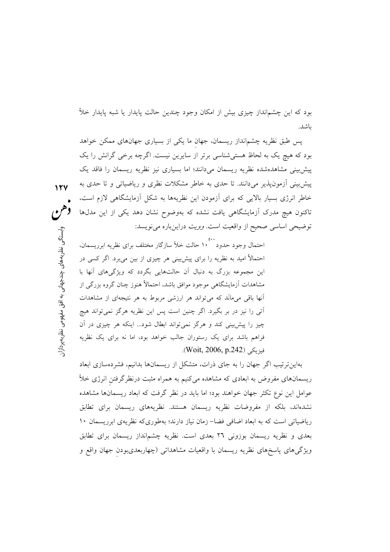بود که این چشمانداز چیزی بیش از امکان وجود چندین حالت پایدار یا شبه پایدار خلأ ىاشد.

پس طبق نظریه چشم|نداز ریسمان، جهان ما یکی از بسیاری جهانهای ممکن خواهد بود که هیچ یک به لحاظ هستی شناسی برتر از سایرین نیست. اگرچه برخی گرانش را یک پیش بینی مشاهدهشده نظریه ریسمان میدانند؛ اما بسیاری نیز نظریه ریسمان را فاقد یک پیش بینی آزمون پذیر می،دانند. تا حدی به خاطر مشکلات نظری و ریاضیاتی و تا حدی به خاطر انرژی بسیار بالایی که برای آزمودن این نظریهها به شکل آزمایشگاهی لازم است، تاکنون هیچ مدرک آزمایشگاهی یافت نشده که بهوضوح نشان دهد یکی از این مدلها توضيحي اساسي صحيح از واقعيت است. *وويت* دراين باره مي نويسد:

احتمال وجود حدود ۱۰° حالت خلأ سازگار مختلف برای نظریه ابرریسمان، احتمالاً امید به نظریه را برای پیشبینی هر چیزی از بین میبرد. اگر کسی در این مجموعه بزرگ به دنبال آن حالتهایی بگردد که ویژگیهای آنها با مشاهدات آزمایشگاهی موجود موافق باشد، احتمالاً هنوز چنان گروه بزرگی از آنها باقی میمانَد که میتواند هر ارزشی مربوط به هر نتیجهای از مشاهدات آتی را نیز در بر بگیرد. اگر چنین است پس این نظریه هرگز نمیتواند هیچ چیز را پیش بینی کند و هرگز نمی تواند ابطال شود... اینکه هر چیزی در آن فراهم باشد برای یک رستوران جالب خواهد بود، اما نه برای یک نظریه فيزيكي (Woit, 2006, p.242).

بهاین ترتیب اگر جهان را به جای ذرات، متشکل از ریسمانها بدانیم، فشردهسازی ابعاد ریسمانهای مفروض به ابعادی که مشاهده میکنیم به همراه مثبت درنظرگرفتن انرژی خلأ عوامل این نوع تکثر جهان خواهند بود؛ اما باید در نظر گرفت که ابعاد ریسمانها مشاهده نشدهاند، بلکه از مفروضات نظریه ریسمان هستند. نظریههای ریسمان برای تطابق ریاضیاتی است که به ابعاد اضافی فضا– زمان نیاز دارند؛ بهطوریکه نظریهی ابرریسمان ۱۰ بعدی و نظریه ریسمان بوزونی ۲٦ بعدی است. نظریه چشم|نداز ریسمان برای تطابق ویژگیهای پاسخهای نظریه ریسمان با واقعیات مشاهداتی (چهاربعدیبودن جهان واقع و

وإبستگج ے نظریەھای چندجہانی به افق مفہومی نظریهپردازار

 $15V$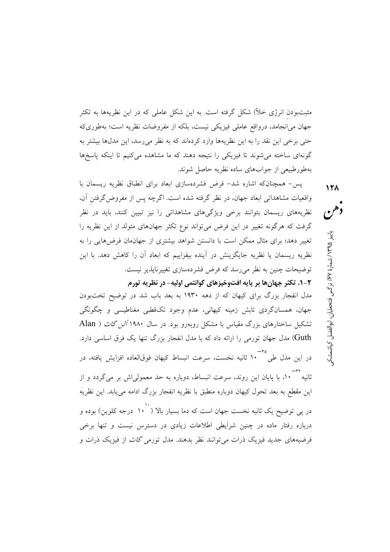مثبتبودن انرژی خلأ) شکل گرفته است. به این شکل عاملی که در این نظریهها به تکثر جهان می|نجامد، درواقع عاملی فیزیکی نیست، بلکه از مفروضات نظریه است؛ بهطوریکه حتی برخی این نقد را به این نظریهها وارد کردهاند که به نظر می رسد، این مدلها بیشتر به گونهای ساخته می شوند تا فیزیکی را نتیجه دهند که ما مشاهده می کنیم تا اینکه پاسخها بهطورطبيعي از جوابهاي ساده نظريه حاصل شوند.

یس- همچنانکه اشاره شد- فرض فشردهسازی ابعاد برای انطباق نظریه ریسمان با واقعیات مشاهداتی ابعاد جهان، در نظر گرفته شده است. اگرچه پس از مفروض گرفتن آن، نظریههای ریسمان بتوانند برخی ویژگیهای مشاهداتی را نیز تبیین کنند، باید در نظر گرفت که هرگونه تغییر در این فرض می تواند نوع تکثر جهانهای متولد از این نظریه را تغییر دهد؛ برای مثال ممکن است با دانستن شواهد بیشتری از جهانمان فرض هایی را به نظریه ریسمان یا نظریه جایگزینش در آینده بیفزاییم که ابعاد آن را کاهش دهد. با این توضیحات چنین به نظر می رسد که فرض فشردهسازی تغییرناپذیر نیست.

٢-١. تكثر جهانها بر پايه افتوخيزهاي كوانتمي اوليه- در نظريه تورم مدل انفجار بزرگ برای کیهان که از دهه ۱۹۳۰ به بعد باب شد در توضیح تختبودن جهان، همسانگردی تابش زمینه کیهانی، عدم وجود تکقطبی مغناطیسی و چگونگی تشکیل ساختارهای بزرگ مقیاس با مشکل روبهرو بود. در سال ۱۹۸۰ *آلن گاث* ( Alan Guth) مدل جهان تورمی را ارائه داد که با مدل انفجار بزرگ تنها یک فرق اساسی دارد. ۳۵-<br>در این مدل طی ۱۰ ثانیه نخست، سرعت انبساط کیهان فوقالعاده افزایش یافته، در ۳۲–<br>ثانیه ۱۰۰، با پایان این روند، سرعت انبساط، دوباره به حد معمولیاش بر میگردد و از این مقطع به بعد تحول کیهان دوباره منطبق با نظریه انفجار بزرگ ادامه میbبابد. این نظریه در پ*ی* توضیح یک ثانیه نخست جهان است که دما بسیار بالا <sup>۱۰٬</sup>۰ درجه کلوین) بوده و درباره رفتار ماده در چنین شرایطی اطلاعات زیادی در دسترس نیست و تنها برخی فرضیههای جدید فیزیک ذرات می توانند نظر بدهند. مدل تورمی *گاث* از فیزیک ذرات و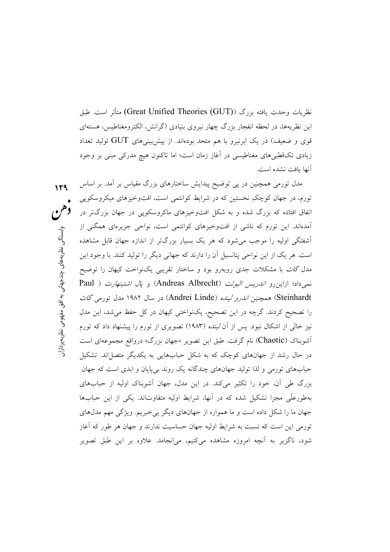نظريات وحدت بافته يزرگ (Great Unified Theories (GUT)) متأثر است. طبق این نظریهها، در لحظه انفجار بزرگ چهار نیروی بنیادی (گرانش، الکترومغناطیس، هستهای قوی و ضعیف) در یک ابرنیرو با هم متحد بودهاند. از پیش بینیهای  ${\rm GUT}$  تولید تعداد زیادی تکقطبیهای مغناطیسی در آغاز زمان است؛ اما تاکنون هیچ مدرکی مبنی بر وجود آنها بافت نشده است.

مدل تورمی همچنین در پی توضیح پیدایش ساختارهای بزرگ مقیاس بر آمد. بر اساس  $119$ تورم، در جهان کوچکِ نخستین که در شرایط کوانتمی است، افتوخیزهای میکروسکوپی اتفاق افتاده که بزرگ شده و به شکل افتوخیزهای ماکروسکویی در جهان بزرگتر در آمدهاند. این تورم که ناشی از افتوخیزهای کوانتمی است، نواحی جزیرهای همگنی از اَشفتگی اولیه را موجب می شود که هر یک بسیار بزرگتر از اندازه جهان قابل مشاهده است. هر یک از این نواحی پتانسیل آن را دارند که جهانی دیگر را تولید کنند. با وجود این مدل *گاث* با مشکلات جدی روبهرو بود و ساختار تقریبی یکنواخت کیهان را توضیح نعی داد؛ ازاین رو *اندریس البوثت (*Andreas Albrecht) و *پال اشتینهارت* ( Paul Steinhardt) همچنین *اندرو لینده (*Andrei Linde) در سال ۱۹۸۲ مدل تورمی *گاث* را تصحیح کردند. گرچه در این تصحیح، یکنواختی کیهان در کل حفظ می شد، این مدل نیز خال<sub>ی</sub> از اشکال نبود. پس از آن *لینده* (۱۹۸۳) تصویری از تورم را پیشنهاد داد که تورم آشوبناک (Chaotic) نام گرفت. طبق این تصویر «جهان بزرگ» درواقع مجموعهای است در حال رشد از جهانهای کوچک که به شکل حبابهایی به یکدیگر متصل اند. تشکیل حیابهای تورمی و لذا تولید جهانهای چندگانه یک روند بی پایان و ایدی است که جهان بزرگ طی آن، خود را تکثیر می کند. در این مدل، جهان آشویناک اولیه از حیابهای بهطورعلَّی مجزا تشکیل شده که در آنها، شرایط اولیه متفاوتاند. یکی از این حبابها جهان ما را شکل داده است و ما همواره از جهانهای دیگر بی خبریم. ویژگی مهم مدلهای تورمی این است که نسبت به شرایط اولیه جهان حساسیت ندارند و جهان هر طور که آغاز شود، ناگزیر به آنچه امروزه مشاهده میکنیم، میانجامد. علاوه بر این طبق تصویر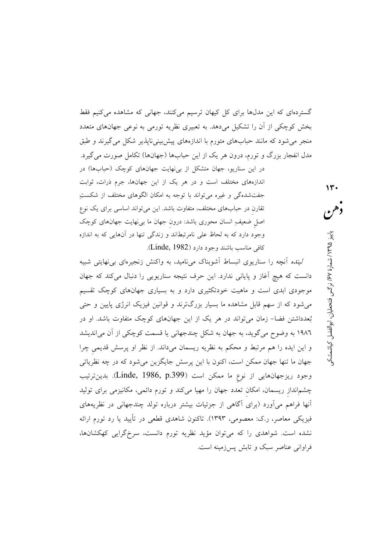گستردهای که این مدلها برای کل کیهان ترسیم میکنند، جهانی که مشاهده میکنیم فقط بخش کوچکی از آن را تشکیل میدهد. به تعبیری نظریه تورمی به نوعی جهانهای متعدد منجر می شود که مانند حبابهای متورم با اندازههای پیش بینی ناپذیر شکل می گیرند و طبق مدل انفجار بزرگ و تورم، درون هر یک از این حبابها (جهانها) تکامل صورت می گیرد. در این سناریو، جهان متشکل از بی نهایت جهانهای کوچک (حبابها) در اندازههای مختلف است و در هر یک از این جهانها، جرم ذرات، ثوابت جفت شده گی و غیره می تواند با توجه به امکان الگوهای مختلف از شکستِ تقارن در حبابهای مختلف، متفاوت باشد. این میتواند اساسی برای یک نوع

اصل ضعیفِ انسان محوری باشد: درون جهان ما بیiهایت جهانهای کوچک وجود دارد که به لحاظ علی نامرتبطاند و زندگی تنها در آنهایی که به اندازه كافي مناسب باشند وجود دارد (Linde, 1982).

*لینده* اّنچه را سناریوی انبساط اَشوبناک میiامید، به واکنش زنجیرهای بی'فهایتی شبیه دانست که هیچ آغاز و پایانی ندارد. این حرف نتیجه سناریویی را دنبال میکند که جهان موجودی ابدی است و ماهیت خودتکثیری دارد و به بسیاری جهانهای کوچک تقسیم میشود که از سهم قابل مشاهده ما بسیار بزرگترند و قوانین فیزیک انرژی پایین و حتی بُعدداشتن فضا– زمان می تواند در هر یک از این جهانهای کوچک متفاوت باشد. او در ۱۹۸٦ به وضوح میگوید، به جهان به شکل چندجهانی یا قسمت کوچکی از آن می|ندیشد و این ایده را هم مرتبط و محکم به نظریه ریسمان میداند. از نظر او پرسش قدیمی چرا جهان ما تنها جهان ممکن است، اکنون با این پرسش جایگزین میشود که در چه نظریاتی وجود ريزجهانهايي از نوع ما ممكن است (Linde, 1986, p.399). بدينترتيب چشمانداز ریسمان، امکان تعدد جهان را مهیا میکند و تورم دائمی، مکانیزمی برای تولید اّنها فراهم می|ورد (برای اگاهی از جزئیات بیشتر درباره تولد چندجهانی در نظریههای فیزیکی معاصر، ر.ک: معصومی، ۱۳۹۳). تاکنون شاهدی قطعی در تأیید یا رد تورم ارائه نشده است. شواهدی را که میتوان مؤید نظریه تورم دانست، سرخگرایی کهکشانها، فراوانی عناصر سبک و تابش پس زمینه است.

پاییز ۱۳۹۵/ شمارهٔ ۶۷٪ نرگس فتحطیان، ابوالفضل کیاشمشک

 $\gamma$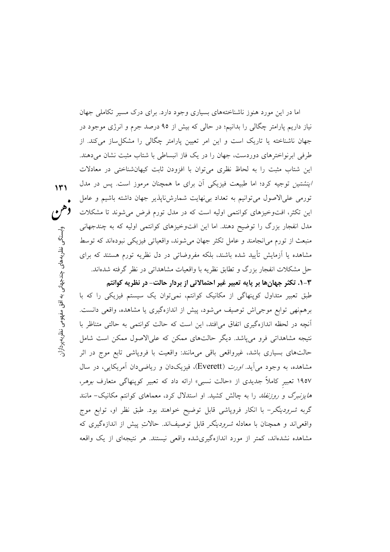اما در این مورد هنوز ناشناختههای بسیاری وجود دارد. برای درک مسیر تکاملی جهان نیاز داریم پارامتر چگالی را بدانیم؛ در حالی که بیش از ۹۵ درصد جرم و انرژی موجود در جهان ناشناخته یا تاریک است و این امر تعیین پارامتر چگالی را مشکلساز میکند. از طرفی ابرنواخترهای دوردست، جهان را در یک فاز انبساطی با شتاب مثبت نشان میدهند. این شتاب مثبت را به لحاظ نظری میٍتوان با افزودن ثابت کیهانشناخت<sub>ی</sub> در معادلات /ينشتين توجيه كرد؛ اما طبيعت فيزيكي أن براي ما همچنان مرموز است. پس در مدل تورمی علیالاصول می توانیم به تعداد بی نهایت شمارشiباپذیر جهان داشته باشیم و عامل این تکثر، افتوخیزهای کوانتمی اولیه است که در مدل تورم فرض می شوند تا مشکلات مدل انفجار بزرگ را توضیح دهند. اما این افتوخیزهای کوانتمی اولیه که به چندجهانی منبعث از تورم می|نجامند و عامل تکثر جهان می شوند، واقعیاتی فیزیکی نبودهاند که توسط مشاهده یا آزمایش تأیید شده باشند، بلکه مفروضاتی در دل نظریه تورم هستند که برای حل مشکلات انفجار بزرگ و تطابق نظریه با واقعیات مشاهداتی در نظر گرفته شدهاند.

۰۳-۲. تکثر جهانها بر پایه تعبیر غیر احتمالاتی از بردار حالت- در نظریه کوانتم طبق تعبیر متداول کوپنهاگی از مکانیک کوانتم، نمیتوان یک سیستم فیزیکی را که با برهم.نهی توابع موجیاش توصیف میشود، پیش از اندازهگیری یا مشاهده، واقعی دانست. أنچه در لحظه اندازهگیری اتفاق می|فتد، این است که حالت کوانتمی به حالتی متناظر با نتیجه مشاهداتی فرو میپاشد. دیگر حالتهای ممکن که علیالاصول ممکن است شامل حالتهای بسیاری باشد، غیرواقعی باقی میمانند: واقعیت با فروپاشی تابع موج در اثر مشاهده، به وجود می[ید. *اورت* (Everett)، فیزیکدان و ریاضیدان آمریکایی، در سال ۱۹۵۷ تعبیر کاملاً جدیدی از «حالت نسبی» ارائه داد که تعبیر کوپنهاگی متعارف *بوهر*، *هایزنبرگ و روزنفلد* را به چالش کشید. او استدلال کرد، معماهای کوانتم مکانیک– مانند گربه *شرودینگر*– با انکار فروپاشی قابل توضیح خواهند بود. طبق نظر او، توابع موج واقعیاند و همچنان با معادله *شرودینگر* قابل توصیفاند. حالاتِ پیش از اندازهگیری که مشاهده نشدهاند، کمتر از مورد اندازهگیریشده واقعی نیستند. هر نتیجهای از یک واقعه

 $141$ 

وابستگے

نظریههای چندجهانی به افق مفهومی نظریهپردازار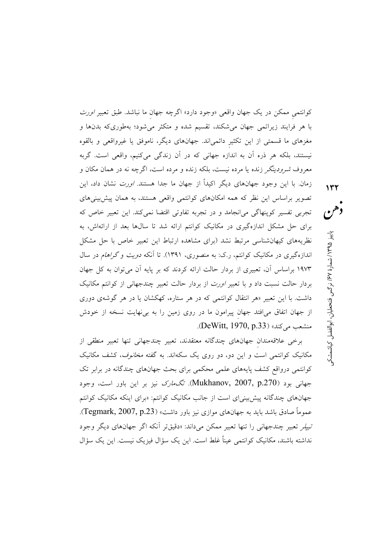کوانتمی ممکن در یک جهان واقعی «وجود دارد» اگرچه جهان ما نباشد. طبق تعبیر *اورت* با هر فرایند زیراتمی جهان میشکند، تقسیم شده و متکثر میشود؛ بهطوریکه بدنها و مغزهای ما قسمتی از این تکثیر دائمیاند. جهانهای دیگر، ناموفق یا غیرواقعی و بالقوه نیستند، بلکه هر ذره آن به اندازه جهانی که در آن زندگی میکنیم، واقعی است. گربه معروف *شرودینگر* زنده یا مرده نیست، بلکه زنده و مرده است، اگرچه نه در همان مکان و زمان. با این وجود جهانهای دیگر اکیداً از جهان ما جدا هستند. *اورت* نشان داد، این تصویر براساس این نظر که همه امکانهای کوانتمی واقعی هستند، به همان پیش بینیهای تجربی تفسیر کوپنهاگی میانجامد و در تجربه تفاوتی اقتضا نمیکند. این تعبیر خاص که برای حل مشکل اندازهگیری در مکانیک کوانتم ارائه شد تا سالها بعد از ارائهاش، به نظریههای کیهانشناسی مرتبط نشد (برای مشاهده ارتباط این تعبیر خاص با حل مشکل اندازهگیری در مکانیک کوانتم، ر.ک: به منصوری، ۱۳۹۱). تا آنکه *دویت و گراهام* در سال ۱۹۷۳ براساس آن، تعبیری از بردار حالت ارائه کردند که بر پایه آن میتوان به کل جهان بردار حالت نسبت داد و با تعبیر *اورت* از بردار حالت تعبیر چندجهانی از کوانتم مکانیک داشت. با این تعبیر «هر انتقال کوانتمی که در هر ستاره، کهکشان یا در هر گوشهی دوری از جهان اتفاق می|فتد جهان پیرامون ما در روی زمین را به بینهایت نسخه از خودش منشعب می کند» (DeWitt, 1970, p.33).

برخی علاقهمندان جهانهای چندگانه معتقدند، تعبیر چندجهانی تنها تعبیر منطقی از مکانیک کوانتمی است و این دو، دو روی یک سکهاند. به گفته *مخانوف*، کشف مکانیک کوانتمی درواقع کشف پایههای علمی محکمی برای بحث جهانهای چندگانه در برابر تک جهانی بود (Mukhanov, 2007, p.270). ت*گمارک* نیز بر این باور است، وجود جهانهای چندگانه پیش بینی ای است از جانب مکانیک کوانتم: «برای اینکه مکانیک کوانتم عموماً صادق باشد باید به جهانهای موازی نیز باور داشت» (Tegmark, 2007, p.23). تیپلر تعبیر چندجهانی را تنها تعبیر ممکن میداند: «دقیقتر آنکه اگر جهانهای دیگر وجود نداشته باشند، مکانیک کوانتمی عیناً غلط است. این یک سؤال فیزیک نیست. این یک سؤال

دهن پاییز ۱۳۹۵/ شمارهٔ ۶۷/ نرگس فتحطیان، ابوالفضل کیاشمشک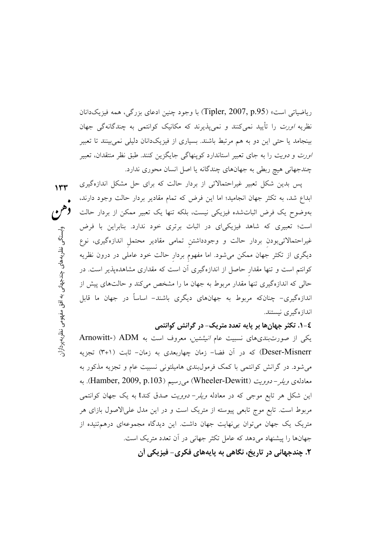رياضياتي است» (Tipler, 2007, p.95) با وجود چنين ادعاي بزرگي، همه فيزيکدانان نظریه *اورت* را تأیید نمیکنند و نمیپذیرند که مکانیک کوانتمی به چندگانهگی جهان بینجامد یا حتی این دو به هم مرتبط باشند. بسیاری از فیزیکدانان دلیلی نمی بینند تا تعبیر *اورت و دویت را به جای تعبیر استاندارد کوپنهاگی جایگزین کنند. طبق نظر منتقدان، تعبیر* چندجهانی هیچ ربطی به جهانهای چندگانه یا اصل انسان محوری ندارد.

یس بدین شکل تعبیر غیراحتمالاتی از بردار حالت که برای حل مشکل اندازهگیری ابداع شد، به تکثر جهان انجامید؛ اما این فرض که تمام مقادیر بردار حالت وجود دارند، دهن بهوضوح یک فرض اثباتشده فیزیکی نیست، بلکه تنها یک تعبیر ممکن از بردار حالت است؛ تعبیری که شاهد فیزیکیای در اثبات برتری خود ندارد. بنابراین با فرض غیراحتمالاتیبودن بردار حالت و وجودداشتن تمامی مقادیر محتمل اندازهگیری، نوع دیگری از تکثر جهان ممکن میشود. اما مفهوم بردار حالت خود عاملی در درون نظریه کوانتم است و تنها مقدار حاصل از اندازهگیری آن است که مقداری مشاهدهیذیر است. در حالی که اندازهگیری تنها مقدار مربوط به جهان ما را مشخص می کند و حالتهای پیش از اندازهگیری- چنانکه مربوط به جهانهای دیگری باشند- اساساً در جهان ما قابل اندازهگیری نیستند.

 $114$ 

وابستگے

، نظریههای چندجهانی به افق مفهومی نظریهپردازا<u>ر</u>

## ٤- ۱. تکثر جهانها بر پایه تعدد متریک- در گرانش کوانتمی

یکی از صورتبندیهای نسبیت عام *انیشتین*، معروف است به Arnowitt-) ADM Deser-Misnerr) که در آن فضا– زمان چهاربعدی به زمان– ثابت (۱+۳) تجزیه میشود. در گرانش کوانتمی با کمک فرمول $\omega$ بندی هامیلتونی نسبیت عام و تجزیه مذکور به معادلهی *ویلر- دوویت* (Wheeler-Dewitt) می رسیم (Hamber, 2009, p.103). به این شکل هر تابع موجی که در معادله *ویلر– دوویت صد*ق کندt به یک جهان کوانتمی مربوط است. تابع موج تابعی پیوسته از متریک است و در این مدل علیالاصول بازای هر متریک یک جهان میتوان بینهایت جهان داشت. این دیدگاه مجموعهای درهمتنیده از جهانها را پیشنهاد میدهد که عامل تکثر جهانی در آن تعدد متریک است. ۲. چندجهانی در تاریخ، نگاهی به پایههای فکری- فیزیکی آن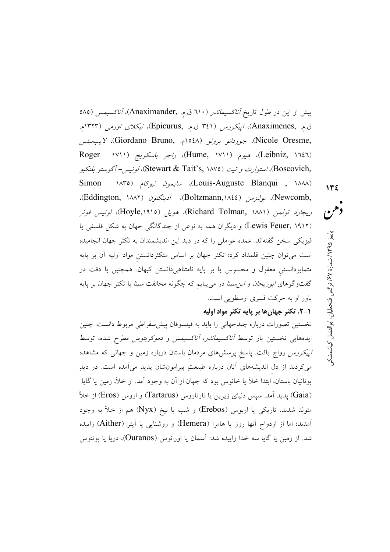پیش از این در طول تاریخ *آناکسیماندر (*۲۱۰ ق.م. ,Anaximander)، *آناکسیمس (*۵۸۵ ق.م. ,Anaximenes)، *اپيکورس* (٣٤١ ق.م. ,Epicurus)، *نيکلای اورمی* (١٣٢٣م. ,Nicole Oresme)، جورد*انو برونو* (۱۵٤۸م. ,Giordano Bruno)، لايب *نيتس* (Leibniz, ۱٦٤٦)، هيوم (Hume, ۱۷۱۱)، *راجر باسكويچ* (۱۷۱۱ Roger ,Boscovich)، استوارت و تيت (Stewart & Tait's, ۱۸۷۵)، لوئيس- آگوستو بلنكيو (Louis-Auguste Blanqui , ۱۸۸۸)، *سایمون نیوکام* (۱۸۳۵ Simon ,Newcomb)، بولتزمن (Boltzmann,۱۸٤٤)، ادینگتون (Eddington, ۱۸۸۲)، ريچارد تولمن (Richard Tolman, ۱۸۸۱)، هويل (Hoyle,۱۹۱۵)، *لوئيس فوئر* (Lewis Feuer, ۱۹۱۲) و دیگران همه به نوعی از چندگانگی جهان به شکل فلسفی یا فیزیکی سخن گفتهاند. عمده عواملی را که در دید این اندیشمندان به تکثر جهان انجامیده است میتوان چنین قلمداد کرد: تکثر جهان بر اساس متکثردانستن مواد اولیه آن بر پایه متمایزدانستن معقول و محسوس یا بر پایه نامتناهیدانستن کیهان. همچنین با دقت در گفتوگوهای *ابوریحان و ابن سینا د*ر می پبایم که چگونه مخالفت *سینا* با تکثر جهان بر پایه باور او به حرکت قسری ارسطویی است.

٠١-٢. تكثر جهان ها بر يايه تكثر مواد اوليه

 $115$ 

دهن

پاییز ۱۳۹۵/ شمارهٔ ۶۷/ نرگس فتحطیان، ابوالفضل کیاشمشکو

نخستین تصورات درباره چندجهانی را باید به فیلسوفان پیش سقراطی مربوط دانست. چنین ایدههایی نخستین بار توسط *آناکسیماندر، آناکسیمس و دموکریتوس مطرح* شده، توسط *اپیکورس* رواج یافت. پاسخ پرسشهای مردمان باستان درباره زمین و جهانی که مشاهده میکردند از دل اندیشههای آنان درباره طبیعتِ پیرامونشان پدید میآمده است. در دیدِ يونانيان باستان، ابتدا خلأ يا خائوس بود كه جهان از آن به وجود آمد. از خلأ، زمين يا گايا (Gaia) پدید آمد. سپس دنیای زیرین یا تارتاروس (Tartarus) و اروس (Eros) از خلأ متولد شدند. تاریکی یا اربوس (Erebos) و شب یا نیخ (Nyx) هم از خلأ به وجود آمدند؛ اما از ازدواج آنها روز یا هامرا (Hemera) و روشنایی یا آیتر (Aither) زاییده شد. از زمین یا گایا سه خدا زاییده شد: آسمان یا اورانوس (Ouranos)، دریا یا یونتوس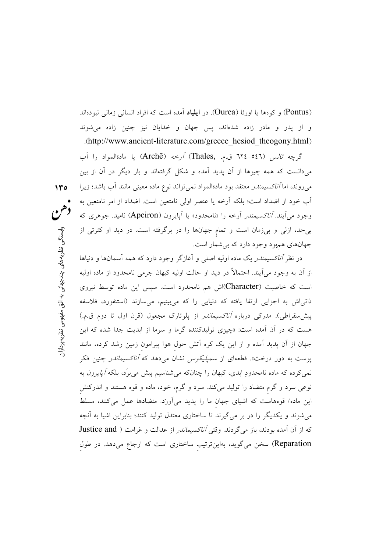(Pontus) و کو مها یا اورئا (Ourea). در ا**یلیاد** آمده است که افراد انسانی زمانی نبودهاند و از يدر و مادر زاده شدهاند، پس جهان و خدايان نيز چنين زاده مي شوند .(http://www.ancient-literature.com/greece\_hesiod\_theogony.html)

گرچه *تالس (*٥٤٦-٦٢٤ ق.م. ,Thales) *آرخه (*Archē) يا مادةالمواد را آب میدانست که همه چیزها از آن پدید آمده و شکل گرفتهاند و بار دیگر در آن از بین م<sub>ی</sub>روند، اما *آناکسیمندر معتقد بود مادةالمواد نمی تواند نوع ماده معینی مانند آب باشد؛ زیرا* اّب خود از اضداد است؛ بلکه اَرخه یا عنصر اولی نامتعین است. اضداد از امر نامتعین به وجود می آیند. *آناکسیمندر* آرخه را «نامحدود» یا آپایرون (Apeiron) نامید. جوهری که بیحد، ازلی و بیزمان است و تمام جهانها را در برگرفته است. در دید او کثرتی از جهانهای همبود وجود دارد که بی شمار است.

 $140$ 

وابستگی نظریههای چندجهانی به افق مفهومی نظریهپردازار:

در نظر *آناکسیمندر* یک ماده اولیه اصل<sub>ی</sub> و آغازگر وجود دارد که همه آسمانها و دنیاها از آن به وجود می[یند. احتمالاً در دید او حالت اولیه کیهان جرمی نامحدود از ماده اولیه است که خاصیت (Character)اش هم نامحدود است. سپس این ماده توسط نیروی ذاتیاش به اجزایی ارتقا یافته که دنیایی را که میبینیم، میسازند (استنفورد، فلاسفه پیش سقراطی). مدرک<sub>ی</sub> درباره *آناکسیماندر* از پلوتارک مجعول (قرن اول تا دوم ق.م.) هست که در آن آمده است: «چیزی تولیدکننده گرما و سرما از ابدیت جدا شده که این جهان از آن پدید آمده و از این یک کره آتش حول هوا پیرامون زمین رشد کرده، مانند پوست به دور درخت». قطعهای از *سمپلیکوس* نشان میدهد که *آناکسیماندر* چنین فکر نمیکرده که ماده نامحدودِ ابدی، کیهان را چنانکه میشناسیم پیش میبرَد، بلکه *آپایرون* به نوعی سرد و گرم متضاد را تولید میکند. سرد و گرم، خود، ماده و قوه هستند و اندرکنش این ماده/ قوههاست که اشیای جهان ما را پدید میآورَد. متضادها عمل میکنند، مسلط می شوند و یکدیگر را در بر می گیرند تا ساختاری معتدل تولید کنند؛ بنابراین اشیا به آنچه که از آن آمده بودند، باز میگردند. وقتی *آناکسیماندر* از عدالت و غرامت ( Justice and Reparation) سخن میگوید، بهاینترتیب ساختاری است که ارجاع میدهد. در طول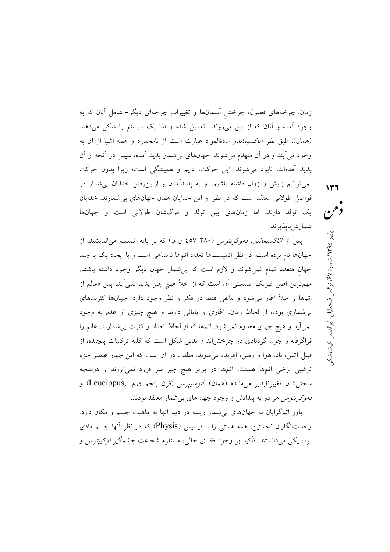زمان، چرخههای فصول، چرخش آسمانها و تغییراتِ چرخهای دیگر– شامل آنان که به وجود آمده و آنان که از بین میروند- تعدیل شده و لذا یک سیستم را شکل میدهند (همان). طبق نظر *آناكسيماندر* مادةالمواد عبارت است از نامحدود و همه اشيا از آن به وجود میآیند و در آن منهدم میشوند. جهانهای بیشمار پدید آمده، سپس در آنچه از آن پدید آمدهاند، نابود میشوند. این حرکت، دایم و همیشگی است؛ زیرا بدون حرکت نمی توانیم زایش و زوال داشته باشیم. او به پدیدآمدن و ازبین رفتن خدایان بی شمار در فواصل طولانی معتقد است که در نظر او این خدایان همان جهانهای بی شمارند. خدایان یک تولد دارند، اما زمانهای بین تولد و مرگشان طولانی است و جهانها شمارش نايذير ند.

یس از *آناکسیماندر، دموکریتوس (*۳۸۰–**۶۵**۷ ق.م.) که بر پایه اتمیسم می|ندیشید، از جهانها نام برده است. در نظر اتمیستها تعداد اتمها نامتناهی است و با ایجاد یک یا چند جهان متعدد تمام نمیشوند و لازم است که بیشمار جهان دیگر وجود داشته باشند. مهمترین اصل فیزیک اتمیستی آن است که از خلأ هیچ چیز پدید نمیآید. پس «عالم از اتمها و خلأ آغاز می شود و مابقی فقط در فکر و نظر وجود دارد. جهانها کثرتهای بی شماری بوده، از لحاظ زمان، آغازی و پایانی دارند و هیچ چیزی از عدم به وجود نمیآید و هیچ چیزی معدوم نمیشود. اتمها که از لحاظ تعداد و کثرت بی شمارند، عالم را فراگرفته و چون گردبادی در چرخشاند و بدین شکل است که کلیه ترکیبات پیچیده، از قبیل اتش، باد، هوا و زمین، اَفریده میشوند. مطلب در اَن است که این چهار عنصر جزء ترکیبی برخی اتمها هستند، اتمها در برابر هیچ چیز سر فرود نمیآورند و درنتیجه سختي شان تغييرنايذير مي مانَد» (همان). *لئوسييوس* (قرن ينجم ق.م. ,Leucippus) و د*موکریتوس* هر دو به پیدایش و وجود جهانهای بی شمار معتقد بودند.

باور اتمگرایان به جهانهای بی شمار ریشه در دید آنها به ماهیت جسم و مکان دارد. وحدتانگاران نخستین، همه هستی را با فیسیس (Physis) که در نظر انها جسم مادی بود، یکی میدانستند. تأکید بر وجود فضای خالی، مستلزم شجاعت چشمگیر *لوکیپتوس* و دهن پاییز ۱۳۹۵/ شمارهٔ ۶۷٪ نرگس فتحطیان، ابوالفضل کیاشمشک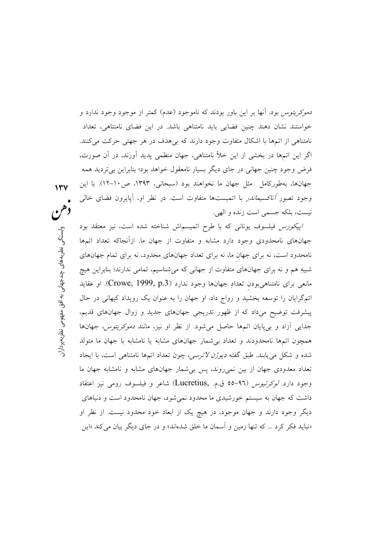*دموکریتوس* بود. آنها بر این باور بودند که ناموجود (عدم) کمتر از موجود وجود ندارد و خواستند نشان دهند چنین فضایی باید نامتناهی باشد. در این فضای نامتناهی، تعداد نامتناهی از اتمها با اشکال متفاوت وجود دارند که بی هدف در هر جهتی حرکت می کنند. اگر این اتمها در بخشی از این خلأ نامتناهی، جهان منظمی پدید آورند، در آن صورت، فرض وجود چنین جهانی در جای دیگر بسیار نامعقول خواهد بود؛ بنابراین بیتردید همه جهانها، بهطوركامل مثل جهان ما نخواهند بود (سبحانی، ۱۳۹۳، ص۱۰-۱۲). با این وجود تصور *آناكسيماندر* با اتميستها متفاوت است. در نظر او، آپايرون فضاى خال<sub>ى</sub> نيست، بلكه جسمي است زنده و الهي.

اييكورس فيلسوف يوناني كه با طرح اتميسماش شناخته شده است، نيز معتقد بود جهانهای نامحدودی وجود دارد مشابه و متفاوت از جهان ما. ازآنجاکه تعداد اتمها نامحدود است، نه برای جهان ما، نه برای تعداد جهانهای محدود، نه برای تمام جهانهای شبیهِ هم و نه برای جهانهای متفاوت از جهانی که میشناسیم، تمامی ندارند؛ بنابراین هیچ مانعی برای نامتناهی بودن تعدادِ جهانها وجود ندارد (Crowe, 1999, p.3). او عقاید اتمگرایان را توسعه بخشید و رواج داد. او جهان را به عنوان یک رویداد کیهانی در حال پیشرفت توضیح میداد که از ظهور تدریجی جهانهای جدید و زوال جهانهای قدیم، جدایی آزاد و بیپایان اتمها حاصل میشود. از نظر او نیز، مانند *دموکریتوس، جهان*ها همچون اتمها نامحدودند و تعداد بی شمار جهانهای مشابه یا نامشابه با جهان ما متولد شده و شکل مییابند. طبق گفته *دیوژن لائرسی*، چون تعداد اتمها نامتناهی است، با ایجاد تعداد معدودی جهان از بین نمی روند، پس بی شمار جهانهای مشابه و نامشابه جهان ما وجود دارد. *لوكرتيوس* (٩٦-٥٥ ق.م. ,Lucretius) شاعر و فيلسوف رومي نيز اعتقاد داشت که جهان به سیستم خورشیدی ما محدود نمی شود، جهان نامحدود است و دنیاهای دیگر وجود دارند و جهان موجود، در هیچ یک از ابعاد خود محدود نیست. از نظر او «نباید فکر کرد … که تنها زمین و اَسمان ما خلق شدهاند» و در جای دیگر بیان می کند «این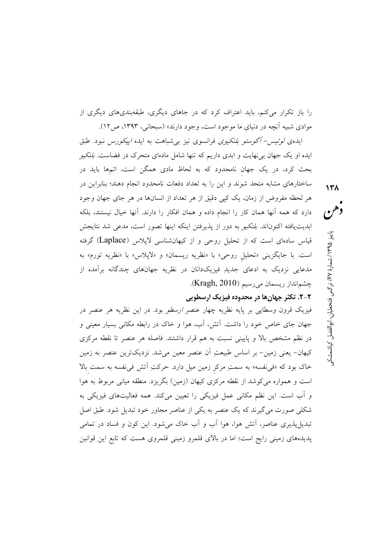را باز تکرار می کنم، باید اعتراف کرد که در جاهای دیگری، طبقهبندیهای دیگری از موادي شبيه آنچه در دنياي ما موجود است، وجود دارند» (سبحاني، ١٣٩٣، ص١٢).

ایدهی *لوئیس- آگوستو بلنکیوی* فرانسوی نیز بی شباهت به ایده *اییکورس* نبود. طبق ایده او یک جهان بی نهایت و ابدی داریم که تنها شامل مادهای متحرک در فضاست. *بلنکیو* بحث کرد، در یک جهان نامحدود که به لحاظ مادی همگن است، اتمها باید در ساختارهای مشابه متحد شوند و این را به تعداد دفعات نامحدود انجام دهند؛ بنابراین در هر لحظه مفروض از زمان، یک کیبی دقیق از هر تعداد از انسانها در هر جای جهان وجود دارد که همه اّنها همان کار را انجام داده و همان افکار را دارند. اّنها خیال نیستند، بلکه ابديت يافته اكنوناند. *بلنكيو* به دور از يذيرفتن اينكه اينها تصور است، مدعى شد نتايجش قیاس سادهای است که از تحلیل روحی و از کیهانشناسی لایلاس (Laplace) گرفته است. با جايگزيني «تحليل روحي» با «نظريه ريسمان» و «لاپلاس» با «نظريه تورم» به مدعایی نزدیک به ادعای جدیدِ فیزیکدانان در نظریه جهانهای چندگانه برآمده از چشمانداز ریسمان میرسیم (Kragh, 2010).

## ۲-۲. تکثر جهانها در محدوده فیزیک ارسطویی

فیزیک قرون وسطایی بر پایه نظریه چهار عنصر *ارسطو* بود. در این نظریه هر عنصر در جهان جای خاص خود را داشت. آتش، آب، هوا و خاک در رابطه مکانی بسیار معینی و در نظم مشخص بالا و پایینی نسبت به هم قرار داشتند. فاصله هر عنصر تا نقطه مرکزی کیهان– یعنی زمین– بر اساس طبیعتِ آن عنصر معین میشد. نزدیکترین عنصر به زمین خاک بود که «فی نفسه» به سمتِ مرکز زمین میل دارد. حرکتِ اَتش فی نفسه به سمت بالا است و همواره میکوشد از نقطه مرکزی کیهان (زمین) بگریزد. منطقه میانی مربوط به هوا و آب است. این نظم مکانی عمل فیزیکی را تعیین میکند. همه فعالیتهای فیزیکی به شکلی صورت می گیرند که یک عنصر به یکی از عناصر مجاور خود تبدیل شود. طبق اصل تبدیلپذیری عناصر، آتش هوا، هوا آب و آب خاک میشود. این کون و فساد در تمامی پدیدههای زمینی رایج است؛ اما در بالای قلمرو زمینی قلمروی هست که تابع این قوانین دهن پاییز ۱۳۹۵/ شمارهٔ ۶۷٪ نرگس فتحطیان، ابوالفضل کیاشمشکو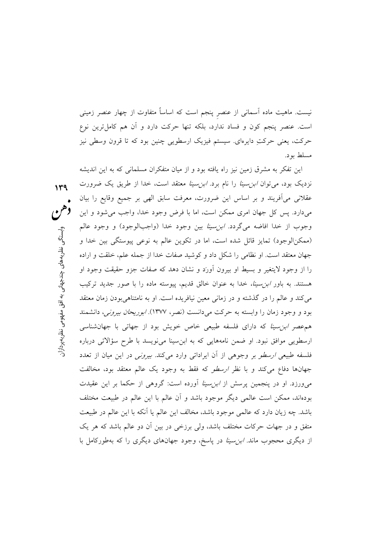نیست. ماهیت ماده آسمانی از عنصر پنجم است که اساساً متفاوت از چهار عنصر زمینی است. عنصر پنجم کون و فساد ندارد، بلکه تنها حرکت دارد و آن هم کاملترین نوع حرکت، یعنی حرکتِ دایرهای. سیستم فیزیک ارسطویی چنین بود که تا قرون وسطی نیز مسلط بو د.

این تفکر به مشرق زمین نیز راه یافته بود و از میان متفکران مسلمانی که به این اندیشه نزدیک بود، میتوان *ابن سینا* را نام برد. *ابن سینا* معتقد است، خدا از طریق یک ضرورت  $149$ عقلانی می آفریند و بر اساس این ضرورت، معرفت سابق الهی بر جمیع وقایع را بیان میدارد. پس کل جهان امری ممکن است، اما با فرض وجود خدا، واجب می شود و این وجوب از خدا افاضه مي گردد. *ابن سينا* بين وجود خدا (واجبالوجود) و وجود عالم (ممكن|لوجود) تمايز قائل شده است، اما در تكوين عالم به نوعي پيوستگي بين خدا و جهان معتقد است. او نظامی را شکل داد و کوشید صفات خدا از جمله علم، خلقت و اراده را از وجود لایتغیر و بسیط او بیرون آورَد و نشان دهد که صفات جزو حقیقت وجود او هستند. به باور *ابن سینا، خدا* به عنوان خالق قدیم، پیوسته ماده را با صور جدید ترکیب می کند و عالم را در گذشته و در زمانی معین نیافریده است. او به نامتناهی بودن زمان معتقد بود و وجود زمان را وابسته به حرکت میدانست (نصر، ۱۳۷۷). *ابوریحان بیرونی،* دانشمند هم عصر این سینا که دارای فلسفه طبیعی خاص خویش بود از جهاتی با جهان شناسی ارسطویی موافق نبود. او ضمن نامههایی که به ابن سینا می نویسد با طرح سؤالاتی درباره فلسفه طبیعی *ارسطو بر وجوهی از آن ایراداتی وارد می کند. بیرونی* در این میان از تعدد جهانها دفاع می کند و با نظر *ارسطو* که فقط به وجود یک عالم معتقد بود، مخالفت می ورزد. او در پنجمین پرسش از *ابن سینا* آورده است: گروهی از حکما بر این عقیدت بودهاند، ممکن است عالمی دیگر موجود باشد و أن عالم با این عالم در طبیعت مختلف باشد. چه زیان دارد که عالمی موجود باشد، مخالف این عالم یا اَنکه با این عالم در طبیعت متفق و در جهات حرکات مختلف باشد، ولی برزخی در بین اُن دو عالم باشد که هر یک از دیگری محجوب ماند. *ابن سینا* در پاسخ، وجود جهانهای دیگری را که بهطورکامل با

وابستگح نظریههای چندجهانی به افق مفهومی نظریهپردازار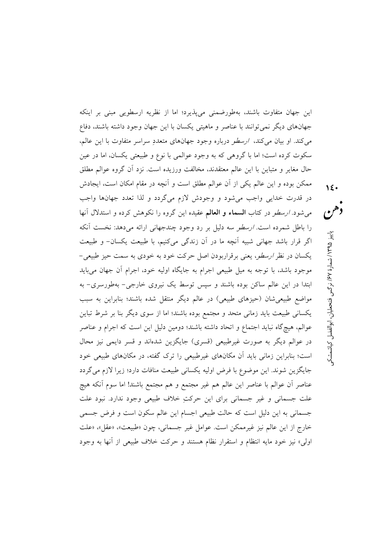این جهان متفاوت باشند، بهطورضمنی میپذیرد؛ اما از نظریه ارسطویی مبنی بر اینکه جهانهای دیگر نمیتوانند با عناصر و ماهیتی یکسان با این جهان وجود داشته باشند، دفاع می کند. او بیان می کند، ارسطو درباره وجود جهانهای متعددِ سراسر متفاوت با این عالم، سکوت کرده است؛ اما با گروهی که به وجود عوالمی با نوع و طبیعتی یکسان، اما در عین حال مغاير و متباين با اين عالم معتقدند، مخالفت ورزيده است. نزد أن گروه عوالم مطلق ممکن بوده و این عالم یکی از آن عوالم مطلق است و آنچه در مقام امکان است، ایجادش در قدرت خدایی واجب میشود و وجودش لازم میگردد و لذا تعدد جهانها واجب می شود. *ارسطو* در کتاب السماء و العالم عقیده این گروه را نکوهش کرده و استدلال آنها را باطل شمرده است. *ارسطو* سه دلیل بر رد وجود چندجهانی ارائه میدهد: نخست آنکه اگر قرار باشد جهانی شبیه آنچه ما در آن زندگی میکنیم، با طبیعت یکسان- و طبیعت یکسان در نظر *ارسطو*، یعنی برقراربودن اصل حرکت خود به خودی به سمت حیز طبیعی-موجود باشد، با توجه به میل طبیعی اجرام به جایگاه اولیه خود، اجرام آن جهان میباید ابتدا در این عالم ساکن بوده باشند و سیس توسط یک نیروی خارجی- بهطورسری- به مواضع طبیعی شان (حیزهای طبیعی) در عالم دیگر منتقل شده باشند؛ بنابراین به سبب یکسانی طبیعت باید زمانی متحد و مجتمع بوده باشند؛ اما از سوی دیگر بنا بر شرط تباین عوالم، هيچگاه نبايد اجتماع و اتحاد داشته باشند؛ دومين دليل اين است كه اجرام و عناصر در عوالم دیگر به صورت غیرطبیعی (قسری) جایگزین شدهاند و قسر دایمی نیز محال است؛ بنابراین زمانی باید آن مکانهای غیرطبیعی را ترک گفته، در مکانهای طبیعی خود جایگزین شوند. این موضوع با فرض اولیه یکسانی طبیعت منافات دارد؛ زیرا لازم میگردد عناصر أن عوالم با عناصر اين عالم هم غير مجتمع و هم مجتمع باشند! اما سوم آنكه هيچ علت جسمانی و غیر جسمانی برای این حرکتِ خلاف طبیعی وجود ندارد. نبود علت جسمانی به این دلیل است که حالت طبیعی اجسام این عالم سکون است و فرض جسمی خارج از اين عالم نيز غيرممكن است. عوامل غير جسماني، چون «طبيعت»، «عقل»، «علت اولي» نيز خود مايه انتظام و استقرار نظام هستند و حركت خلاف طبيعي از آنها به وجود

 $15.$ 

دهن

پاييز ۱۳۹۵/ شمارة ۶۷/ نرگس فتحطيان، ابوالفضل كياشمشكې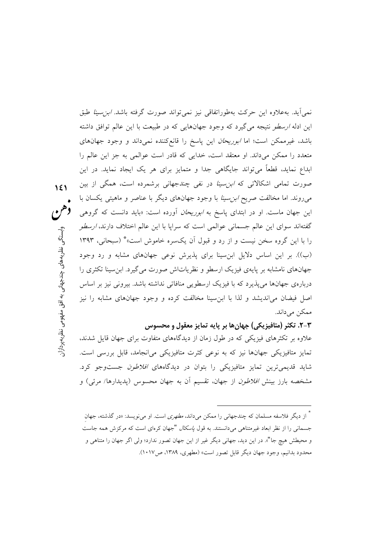نمي[يد. بهعلاوه اين حركت بهطوراتفاقي نيز نمي تواند صورت گرفته باشد. *ابن سينا* طبق این ادله *ارسطو* نتیجه میگیرد که وجود جهانهایی که در طبیعت با این عالم توافق داشته باشد، غیرممکن است؛ اما *ابوریحان* این پاسخ را قانع کننده نمیداند و وجود جهانهای متعدد را ممکن میداند. او معتقد است، خدایی که قادر است عوالمی به جز این عالم را ابداع نماید، قطعاً می تواند جایگاهی جدا و متمایز برای هر یک ایجاد نماید. در این صورت تمامی اشکالاتی که *ابن سینا* در نفی چندجهانی برشمرده است، همگی از بین میروند. اما مخالفت صریح *ابن سینا* با وجود جهانهای دیگر با عناصر و ماهیتی یکسان با این جهان ماست. او در ابتدای پاسخ به *ابوریحان* آورده است: «باید دانست که گروهی گفتهاند سوای این عالم جسمانی عوالمی است که سرایا با این عالم اختلاف دارند، *ارسطو* را با این گروه سخن نیست و از رد و قبول آن یکسره خاموش است» \* (سبحانی، ۱۳۹۳ (ب)). بر این اساس دلایل ابن سینا برای پذیرش نوعی جهانهای مشابه و رد وجود جهانهای نامشابه بر پایهی فیزیک ارسطو و نظریاتاش صورت می گیرد. ابن سینا تکثری را دربارهي جهانها مي پذيرد كه با فيزيک ارسطويي منافاتي نداشته باشد. بيروني نيز بر اساس اصل فیضان می(ندیشد و لذا با ابن سینا مخالفت کرده و وجود جهانهای مشابه را نیز ممکن مے داند.

 $151$ 

دهن

وابستگے

نظریههای چندجهانی به افق مفهومی نظریهپردازار

## ۲-۳. تکثر (متافیزیکی) جهانها بر پایه تمایز معقول و محسوس

علاوه بر تکثرهای فیزیکی که در طول زمان از دیدگاههای متفاوت برای جهان قایل شدند. تمایز متافیزیکی جهانها نیز که به نوعی کثرت متافیزیکی میانجامد، قابل بررسی است. شاید قدیمیترین تمایز متافیزیکی را بتوان در دیدگاههای *افلاطون* جستوجو کرد. مشخصه بارز بینش *افلاطون* از جهان، تقسیم أن به جهان محسوس (پدیدارها/ مرئی) و

<sup>۔&</sup>lt;br>\* از دیگر فلاسفه مسلمان که چندجهانی را ممکن می داند، *مطهری* است. او می نویسد: «در گذشته، جهان جسمانی را از نظر ابعاد غیرمتناهی میدانستند. به قول *یاسکال* "جهان کرمای است که مرکزش همه جاست و محیطش هیچ جا"». در این دید، جهانی دیگر غیر از این جهان تصور ندارد؛ ولی اگر جهان را متناهی و محدود بدانیم، وجود جهان دیگر قابل تصور است» (مطهری، ۱۳۸۹، ص۱۰۱۷).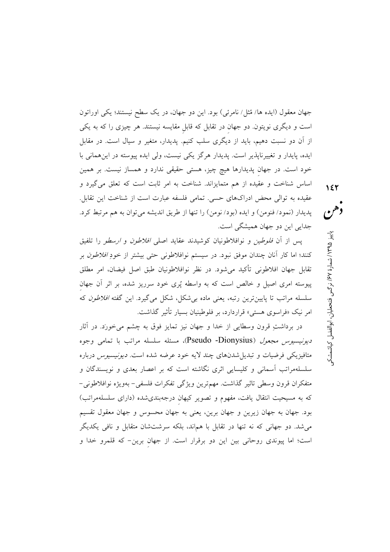جهان معقول (ايده ها/ مُثل/ نامرئي) بود. اين دو جهان، در يک سطح نيستند؛ يکي اوراتون است و دیگری نویتون. دو جهان در تقابل که قابل مقایسه نیستند. هر چیزی را که به یکی از آن دو نسبت دهیم، باید از دیگری سلب کنیم. پدیدار، متغیر و سیال است. در مقابل ایده، پایدار و تغییرناپذیر است. پدیدار هرگز یکی نیست، ولی ایده پیوسته در این همانی با خود است. در جهان پدیدارها هیچ چیز، هستی حقیقی ندارد و همساز نیست. بر همین اساس شناخت و عقیده از هم متمایزاند. شناخت به امر ثابت است که تعلق می گیرد و عقیده به توالی محض ادراکهای حسی. تمامی فلسفه عبارت است از شناخت این تقابل. پدیدار (نمود/ فنومن) و ایده (بود/ نومن) را تنها از طریق اندیشه می توان به هم مرتبط کرد. جدایی این دو جهان همیشگی است.

يس از آن *فلوطين و* نوافلاطونيان كوشيدند عقايد اصل*ي افلاطون و ارسطو* را تلفيق کنند؛ اما کار آنان چندان موفق نبود. در سیستم نوافلاطونی حتی بیشتر از خودِ *افلاطون* بر تقابل جهان افلاطوني تأكيد مي شود. در نظر نوافلاطونيان طبق اصل فيضان، امر مطلق پیوسته امری اصیل و خالص است که به واسطه پُری خود سرریز شده، بر اثر آن جهان سلسله مراتب تا پایینترین رتبه، یعنی ماده بی شکل، شکل میگیرد. این گفته *افلاطون* که امر نیک «فراسوی هستی» قراردارد، بر فلوطینیان بسیار تأثیر گذاشت.

در برداشتِ قرون وسطایی از خدا و جهان نیز تمایز فوق به چشم می خورَد. در آثار د*يونيسيوس مجعول (*Pseudo -Dionysius)، مسئله سلسله مراتب با تمامي وجوه متافیزیکی فرضیات و تبدیل شدنهای چند لایه خود عرضه شده است. *دیونیسیوس* درباره سلسلهمراتب اسمانی و کلیسایی اثری نگاشته است که بر اعصار بعدی و نویسندگان و متفكران قرون وسطى تاثير گذاشت. مهمترين ويژگي تفكرات فلسفى–بهويژه نوافلاطوني– که به مسیحیت انتقال یافت، مفهوم و تصویر کیهان درجهبندیشده (دارای سلسلهمراتب) بود. جهان به جهان زیرین و جهان برین، یعنی به جهان محسوس و جهان معقول تقسیم می شد. دو جهانی که نه تنها در تقابل با هماند، بلکه سرشتشان متقابل و نافی یکدیگر است؛ اما پیوندی روحانی بین این دو برقرار است. از جهان برین- که قلمرو خدا و

دهن پاییز ۱۳۹۵/ شمارهٔ ۶۷٪ نرگس فتحطیان، ابوالفضل کیاشمشک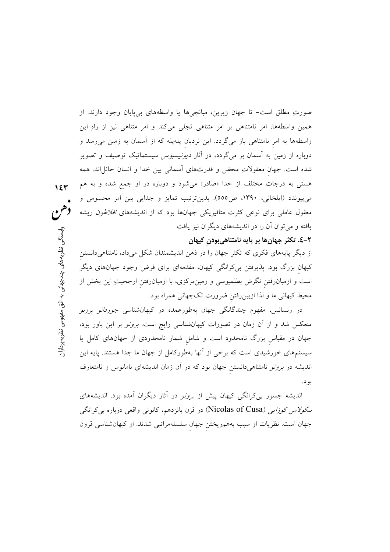صورتِ مطلق است- تا جهان زیرین، میانجیها یا واسطههای بیپایان وجود دارند. از همین واسطهها، امر نامتناهی بر امر متناهی تجلی میکند و امر متناهی نیز از راهِ این واسطهها به امر نامتناهی باز میگردد. این نردبان پلهپله که از آسمان به زمین می رسد و دوباره از زمین به آسمان بر میگردد، در آثار *دیونیسیوس* سیستماتیک توصیف و تصویر شده است. جهان معقولاتِ محض و قدرتهای اسمانی بین خدا و انسان حائلِاند. همه هستی به درجات مختلف از خدا «صادر» میشود و دوباره در او جمع شده و به هم می پیوندد (ایلخانی، ۱۳۹۰، ص٥٥٥). بدینترتیب تمایز و جدایی بین امر محسوس و معقول عاملی برای نوعی کثرت متافیزیکی جهانها بود که از اندیشههای *افلاطون* ریشه یافته و میتوان آن را در اندیشههای دیگران نیز یافت.

## ۲-٤. تکثر جهانها بر پایه نامتناهیبودن کیهان

از دیگر پایههای فکری که تکثر جهان را در ذهن اندیشمندان شکل میداد، نامتناهیدانستن کیهان بزرگ بود. پذیرفتن بیکرانگی کیهان، مقدمهای برای فرض وجود جهانهای دیگر است و ازمیانرفتن نگرش بطلمیوسی و زمینِمرکزی، با ازمیانرفتن ارجحیتِ این بخش از محیط کیهانی ما و لذا ازبینِ رفتن ضرورت تکجهانی همراه بود.

در رنسانس، مفهوم چندگانگی جهان بهطورعمده در کیهانشناسی *جوردانو برونو* منعکس شد و از آن زمان در تصورات کیهانشناسی رایج است. *برونو* بر این باور بود، جهان در مقیاس بزرگ نامحدود است و شامل شمار نامحدودی از جهانهای کامل یا سیستمهای خورشیدی است که برخی از آنها بهطورکامل از جهان ما جدا هستند. پایه این اندیشه در *برونو* نامتناهیدانستن جهان بود که در آن زمان اندیشهای نامانوس و نامتعارف بو د.

اندیشه جسور ب*ی ک*رانگی کیهان پیش از *برونو* در آثار دیگران آمده بود. اندیشههای *نیکولاس کوزایی (*Nicolas of Cusa) در قرن پانزدهم، کانونی واقعی درباره بی کرانگی جهان است. نظریات او سبب بههمریختن جهان سلسلهمراتبی شدند. او کیهانشناسی قرون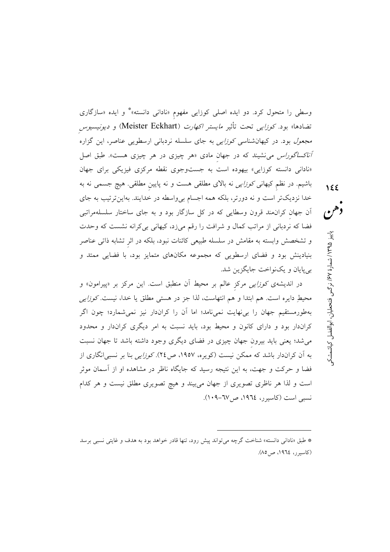وسطی را متحول کرد. دو ایده اصلی کوزایی مفهوم «نادانی دانسته»\* و ایده «سازگاری تضادها» بود. *کوزایی* تحت تأثیر *مایستر اکهارت (*Meister Eckhart) و *دیونیسیوس مجعول* بود. در کیهانشناسی *کوزایی* به جای سلسله نردبانی ارسطویی عناصر، این گزاره *آناکساگوراس می نشیند که در جهان مادی «هر چیزی در هر چیزی هست». طبق اصل* «نادانی دانسته کوزایی» بیهوده است به جستوجوی نقطه مرکزی فیزیکی برای جهان باشیم. در نظم کیهان*ی کوزایی* نه بالای مطلقی هست و نه پایین مطلقی. هیچ جسمی نه به خدا نزدیکتر است و نه دورتر، بلکه همه اجسام بی واسطه در خدایند. بهاینترتیب به جای آن جهان کران.مند قرون وسطایی که در کل سازگار بود و به جای ساختار سلسلهمراتبی فضا که نردبانی از مراتب کمال و شرافت را رقم میزد، کیهانی بی کرانه نشست که وحدت و تشخصش وابسته به مقامش در سلسله طبیعی کائنات نبود، بلکه در اثر تشابه ذاتی عناصر بنیادینش بود و فضای ارسطویی که مجموعه مکانهای متمایز بود، با فضایی ممتد و بي پايان و يکنواخت جايگزين شد.

در اندیشهی *کوزایی مر*کز عالم بر محیط آن منطبق است. این مرکز بر «پیرامون» و محیطِ دایره است. هم ابتدا و هم انتهاست، لذا جز در هستی مطلق یا خدا، نیست. *کوزایی* بهطورمستقیم جهان را بی نهایت نمی،نامد؛ اما آن را کراندار نیز نمی شمارد؛ چون اگر کراندار بود و دارای کانون و محیط بود، باید نسبت به امر دیگری کراندار و محدود می شد؛ یعنی باید بیرون جهان چیزی در فضای دیگری وجود داشته باشد تا جهان نسبت به آن کراندار باشد که ممکن نیست (کویره، ۱۹۵۷، ص۲٤). *کوزایی* بنا بر نسبی(نگاری از فضا و حرکت و جهت، به این نتیجه رسید که جایگاه ناظر در مشاهده او از آسمان موثر است و لذا هر ناظری تصویری از جهان می بیند و هیچ تصویری مطلق نیست و هر کدام نسبی است (کاسبرر، ۱۹۶٤، ص۱۷-۱۰۹).

دهن پاییز ۱۳۹۵/ شمارهٔ ۶۷٪ نرگس فتحطیان، ابوالفضل کیاشمشک

<sup>\*</sup> طبق «نادانی دانسته» شناخت گرچه می تواند پیش رود، تنها قادر خواهد بود به هدف و غایتی نسبی برسد (كاسيرر، ١٩٦٤، ص٥٨).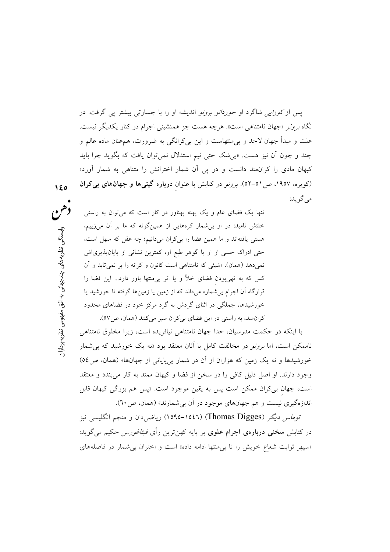یس از *کوزایی* شاگرد او *جوردانو برونو* اندیشه او را با جسارتی بیشتر یی گرفت. در نگاه *برونو «جهان نامتناهی است». هرچه هست ج*ز همنشینی اجرام در کنار یکدیگر نیست. علت و مبدأ جهان لاحد و بیٍمنتهاست و این بیِکرانگی به ضرورت، هم،عنان ماده عالم و چند و چون ان نیز هست. «بی شک حتی نیم استدلال نمی توان یافت که بگوید چرا باید کیهان مادی را کرانهند دانست و در پی اَن شمار اخترانش را متناهی به شمار آورد» (کویره، ۱۹۵۷، ص ۵۱–۵۲). *برونو* در کتابش با عنوان **درباره گیتیها و جهانهای بی کران** مي گو يد:

تنها یک فضای عام و یک پهنه پهناور در کار است که می توان به راستی خلئش نامید: در او بی شمار کرههایی از همینگونه که ما بر آن میزییم، هستی یافتهاند و ما همین فضا را بی کران می دانیم؛ چه عقل که سهل است، حتی ادراک حسی از او یا گوهر طبع او، کمترین نشانی از پایانپذیری|ش نمي دهد (همان). «شيئي كه نامتناهي است كانون و كرانه را بر نمي تابد و آن کس که به تهی بودن فضای خلأ و یا اتر بی منتها باور دارد... این فضا را قرارگاه آن اجرام بی شماره میداند که از زمین یا زمینها گرفته تا خورشید یا خورشیدها، جملگی در اثنای گردش به گرد مرکز خود در فضاهای محدود کرانمند، به راستی در این فضای بی کران سیر میکنند (همان، ص۵۷).

با اینکه در حکمت مدرسیان، خدا جهان نامتناهی نیافریده است، زیرا مخلوق نامتناهی ناممکن است، اما *برونو* در مخالفت کامل با آنان معتقد بود «نه یک خورشید که ب<sub>ی</sub> شمار خورشیدها و نه یک زمین که هزاران از آن در شمار بیپایانی از جهانها» (همان، ص٥٤) وجود دارند. او اصل دلیل کافی را در سخن از فضا و کیهان ممتد به کار میبندد و معتقد است، جهان ب<sub>ی</sub>کران ممکن است پس به یقین موجود است. «پس هم بزرگی کیهان قابل اندازهگیری نیست و هم جهانهای موجود در آن بی شمارند» (همان، ص ٦٠).

ت*وماس ديگ*ز (Thomas Digges) (١٥٤٦–١٥٩٥) رياضي دان و منجم انگليسي نيز در کتابش **سخنی دربارهی اجرام علوی** بر پایه کهنترین رأی *فیثاغورس حک*یم میگوید: «سپهر ثوابت شعاع خويش را تا بي منتها ادامه داده» است و اختران بي شمار در فاصلههاى

وهن وإستنگم ، نظریههای چندجهانی به افق مفهومی نظریهپردازار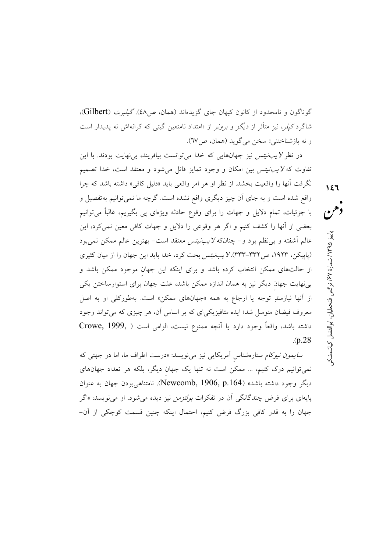گوناگون و نامحدود از کانون کیهان جای گزیدهاند (همان، ص٤٨). *گیلیرت* (Gilbert)، شاگرد *کپلر*، نیز متأثر از *دیگز و برونو* از «امتداد نامتعین گیتی که کرانهاش نه پدیدار است و نه بازشناختني» سخن مي گويد (همان، ص١٧).

در نظر *لایب نیتس نیز جهانهایی* که خدا می توانست بیافریند، بی نهایت بودند. با این تفاوت که *لایب نیتس بین امکان و وجود تمای*ز قائل می شود و معتقد است، خدا تصمیم نگرفت أنها را واقعیت بخشد. از نظر او هر امر واقعی باید «دلیل کافی» داشته باشد که چرا واقع شده است و به جای آن چیز دیگری واقع نشده است. گرچه ما نمیٍتوانیم بهتفصیل و با جزئیات، تمام دلایل و جهات را برای وقوع حادثه ویژهای پی بگیریم، غالباً میتوانیم بعضی از آنها را کشف کنیم و اگر هر وقوعی را دلایل و جهات کافی معین نمیکرد، این عالم أشفته و بي نظم بود و– چنانکه *لايبنيتس* معتقد است– بهترين عالم ممکن نمي بود (پاییکن، ۱۹۲۳، ص۳۳۲–۳۳۳). لایب نیتس بحث کرد، خدا باید این جهان را از میان کثیری از حالتهای ممکن انتخاب کرده باشد و برای اینکه این جهان موجود ممکن باشد و بی نهایت جهان دیگر نیز به همان اندازه ممکن باشد، علت جهان برای استوارساختن یکی از آنها نیازمندِ توجه یا ارجاع به همه «جهانهای ممکن» است. بهطورکلی او به اصل معروف فیضان متوسل شد؛ ایده متافیزیکیای که بر اساس آن، هر چیزی که می تواند وجود داشته باشد، واقعاً وجود دارد يا آنچه ممنوع نيست، الزامي است ( Crowe, 1999,  $(p.28)$ 

س*ایمون نیوکام* ستارهشناس آمریکایی نیز میiویسد: «درست اطراف ما، اما در جهتی که نمی توانیم درک کنیم، … ممکن است نه تنها یک جهان دیگر، بلکه هر تعداد جهانهای دیگر وجود داشته باشد» (Newcomb, 1906, p.164). نامتناهی بودن جهان به عنوان پايهاي براي فرض چندگانگي آن در تفكرات *بولتزمن* نيز ديده مي شود. او مي نويسد: «اگر جهان را به قدر کافی بزرگ فرض کنیم، احتمال اینکه چنین قسمت کوچکی از آن- دهن پاییز ۱۳۹۵/ شمارهٔ ۶۷٪ نرگس فتحطیان، ابوالفضل کیاشمشک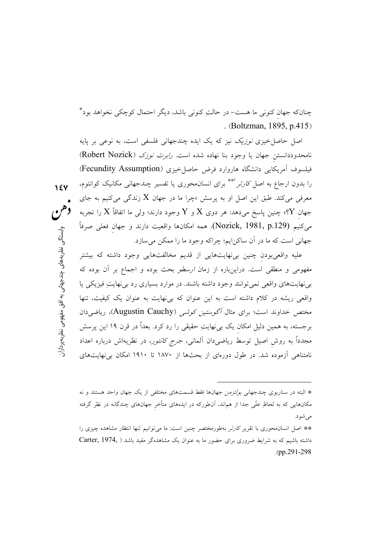چنانکه جهان کنونی ما هست- در حالت کنونی باشد، دیگر احتمال کوچکی نخواهد بود\* . (Boltzman, 1895, p.415)

اصل حاصل خیزی *نوزیک* نیز که یک ایده چندجهانی فلسفی است، به نوعی بر پایه نامحدوددانستن جهان یا وجود بنا نهاده شده است. *رابرت نوزک (*Robert Nozick) فیلسوف آمریکایی دانشگاه هاروارد فرض حاصل خیزی (Fecundity Assumption) را بدون ارجاع به اصل *کارتر* <sup>(\*\*</sup> برای انسان.حوری یا تفسیر چندجهانی مکانیک کوانتوم، معرفی میکند. طبق این اصل او به پرسش «چرا ما در جهان  $X$  زندگی میکنیم به جای جهان  $\rm Y$ » چنین پاسخ میدهد: هر دوی  $\rm X$  و  $\rm Y$  وجود دارند؛ ولی ما اتفاقاً  $\rm X$  را تجربه ميكنيم (Nozick, 1981, p.129). همه امكانها واقعيت دارند و جهان فعلى صرفاً جهاني است كه ما در آن ساكن!يم؛ چراكه وجود ما را ممكن مي سازد.

 $15V$ 

دهن

وابستگی نظریههای چندجهانی به افق مفهومی نظریهپردازار:

عليه واقعي بودن چنين بي نهايتهايي از قديم مخالفتهايي وجود داشته كه بيشتر مفهومی و منطقی است. دراینباره از زمان *ارسطو* بحث بوده و اجماع بر آن بوده که بی نهایتهای واقعی نمی توانند وجود داشته باشند. در موارد بسیاری رد بی نهایتِ فیزیکی یا واقعی ریشه در کلام داشته است به این عنوان که بی نهایت به عنوان یک کیفیت، تنها مختص خداوند است؛ برای مثال *آگوستین کوشی (*Augustin Cauchy)، ریاضی دان برجسته، به همین دلیل امکان یک بی $j$ هایتِ حقیقی را رد کرد. بعداً در قرن ۱۹ این پرسش مجدداً به روش اصیل توسط ریاضی دان آلمانی، *جرج کانتور*، در نظریهاش درباره اعداد نامتناهی آزموده شد. در طول دورمای از بحثها از ۱۸۷۰ تا ۱۹۱۰ امکان بی نهایتهای

<sup>\*</sup> البته در سناریوی چندجهانی ب*ولتزمن* جهانها فقط قسمتهای مختلفی از یک جهان واحد هستند و نه مکانهایی که به لحاظِ علّی جدا از هماند، اّنطورکه در ایدههای متأخر جهانهای چندگانه در نظر گرفته مے شو د.

<sup>\*\*</sup> اصل انسان محوری با تقریر *کارتر* بهطورمختصر چنین است: ما می توانیم تنها انتظار مشاهده چیزی را داشته باشیم که به شرایط ضروری برای حضور ما به عنوان یک مشاهدهگر مقید باشد ( Carter, 1974, .(pp.291-298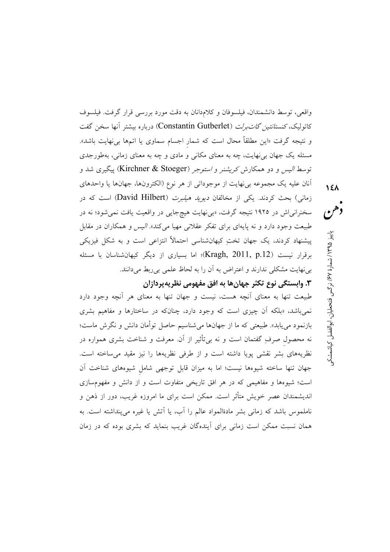واقعی، توسط دانشمندان، فیلسوفان و کلامدانان به دقت مورد بررسی قرار گرفت. فیلسوف كاتوليك، *كنستانتين گاتبرلت (*Constantin Gutberlet) درباره بيشتر آنها سخن گفت و نتیجه گرفت «این مطلقاً محال است که شمار اجسام سماوی یا اتمها بیiهایت باشد». مسئله یک جهان برنهایت، چه به معنای مکانی و مادی و چه به معنای زمانی، بهطورجدی توسط *الیس و دو همکارش کریشنر و استوجر (*Kirchner & Stoeger) پیگیری شد و أنان عليه يک مجموعه بي نهايت از موجوداتي از هر نوع (الکترونها، جهانها يا واحدهاي زمانی) بحث کردند. یکی از مخالفان *دیوید هیلبرت* (David Hilbert) است که در سخنرانی اش در ۱۹۲۵ نتیجه گرفت، «بی نهایت هیچ جایی در واقعیت یافت نمی شود؛ نه در طبیعت وجود دارد و نه پایهای برای تفکر عقلانی مهیا میکند»*. الیس و ه*مکاران در مقابل پیشنهاد کردند، یک جهان تختِ کیهانشناسی احتمالاً انتزاعی است و به شکل فیزیکی برقرار نیست (Kragh, 2011, p.12)؛ اما بسیاری از دیگر کیهانشناسان با مسئله بی نهایت مشکلی ندارند و اعتراض به آن را به لحاظ علمی بی ربط می دانند.

۳. وابستگي نوع تکثر جهان ها به افق مفهومي نظريهپردازان

طبیعت تنها به معنای أنچه هست، نیست و جهان تنها به معنای هر أنچه وجود دارد نمیباشد، «بلکه أن چیزی است که وجود دارد، چنانکه در ساختارها و مفاهیم بشری بازنمود میbیابد». طبیعتبی که ما از جهانها میشناسیم حاصل توأمان دانش و نگرش ماست؛ نه محصول صرفِ گفتمان است و نه بیbتأثیر از آن. معرفت و شناخت بشری همواره در نظریههای بشر نقشی پویا داشته است و از طرفی نظریهها را نیز مقید میساخته است. جهان تنها ساخته شیوهها نیست؛ اما به میزان قابل توجهی شامل شیوههای شناخت آن است؛ شیوهها و مفاهیمی که در هر افق تاریخی متفاوت است و از دانش و مفهومسازی اندیشمندان عصر خویش متأثر است. ممکن است برای ما امروزه غریب، دور از ذهن و ناملموس باشد که زمانی بشر مادةالمواد عالم را آب، یا آتش یا غیره می پنداشته است. به همان نسبت ممکن است زمانی برای اَیندهگان غریب بنماید که بشری بوده که در زمان دهن پاییز ۱۳۹۵/ شمارهٔ ۶۷٪ نرگس فتحطیان، ابوالفضل کیاشمشک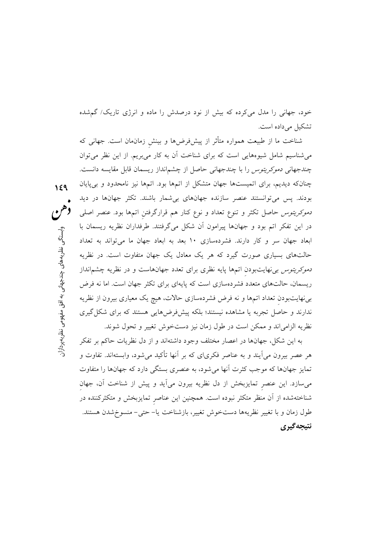خود، جهانی را مدل میکرده که بیش از نود درصدش را ماده و انرژی تاریک/ گم شده تشکیل میداده است.

شناخت ما از طبیعت همواره متأثر از پیشفررضها و بینش زمان،ان است. جهانی که می شناسیم شامل شیوههایی است که برای شناخت آن به کار میبریم. از این نظر میتوان چندجهانی *دموکریتوس را* با چندجهانی حاصل از چشمانداز ریسمان قابل مقایسه دانست. چنانکه دیدیم، برای اتمیستها جهان متشکل از اتمها بود. اتمها نیز نامحدود و بی پایان بودند. پس میتوانستند عنصر سازنده جهانهای بیشمار باشند. تکثر جهانها در دید *دموکریتوس حاصل تک*ثر و تنوع تعداد و نوع کنار هم قرارگرفتن اتمها بود. عنصر اصلی در این تفکر اتم بود و جهانها پیرامون آن شکل میگرفتند. طرفداران نظریه ریسمان با ابعاد جهان سر و كار دارند. فشردهسازي ١٠ بعد به ابعاد جهان ما مي تواند به تعداد حالتهای بسیاری صورت گیرد که هر یک معادل یک جهان متفاوت است. در نظریه *دموکریتوس بی*نهایتبودن اتمها پایه نظری برای تعدد جهانهاست و در نظریه چشم|نداز ریسمان، حالتهای متعدد فشردهسازی است که پایهای برای تکثر جهان است. اما نه فرض بی نهایتبودن تعداد اتمها و نه فرض فشردهسازی حالات، هیچ یک معیاری بیرون از نظریه ندارند و حاصل تجربه یا مشاهده نیستند؛ بلکه پیشفرضهایی هستند که برای شکل گیری نظريه الزامي اند و ممكن است در طول زمان نيز دستخوش تغيير و تحول شوند.

 $159$ 

وابستگي

، نظریههای چندجهانی به افق مفهومی نظریهپردازار

به این شکل، جهانها در اعصار مختلف وجود داشتهاند و از دل نظریات حاکم بر تفکر هر عصر بیرون می]یند و به عناصر فکری|ی که بر آنها تأکید میشود، وابستهاند. تفاوت و تمایز جهانها که موجب کثرت آنها می شود، به عنصری بستگی دارد که جهانها را متفاوت میسازد. این عنصر تمایزبخش از دل نظریه بیرون میآید و پیش از شناخت آن، جهان شناختهشده از آن منظر متكثر نبوده است. همچنین این عناصر تمایزبخش و متكثركننده در طول زمان و با تغییر نظریهها دستخوش تغییر، بازشناخت یا- حتی- منسوخ شدن هستند. نتيجه گيري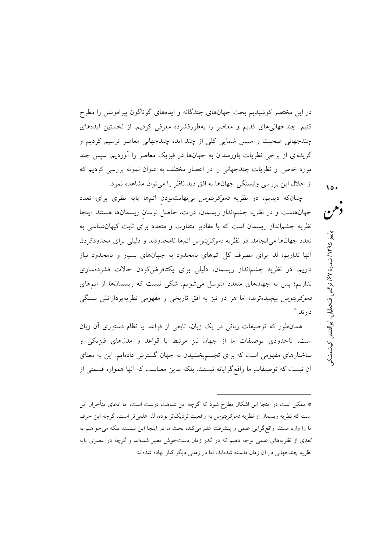در این مختصر کوشیدیم بحث جهانهای چندگانه و ایدههای گوناگون پیرامونش را مطرح کنیم. چندجهانی۵ای قدیم و معاصر را بهطورفشرده معرفی کردیم. از نخستین ایدههای چندجهانی صحبت و سپس شمایی کلی از چند ایده چندجهانی معاصر ترسیم کردیم و گزیدهای از برخی نظریات باورمندان به جهانها در فیزیک معاصر را آوردیم. سپس چند مورد خاص از نظریات چندجهانی را در اعصار مختلف به عنوان نمونه بررسی کردیم که از خلال این بررسی وابستگی جهانها به افق دید ناظر را می توان مشاهده نمود.

 $\lambda$ 

چنانکه دیدیم، در نظریه *دموکریتوس بی نهایت بودن اتمها پایه نظری برای تعدد* جهانهاست و در نظریه چشم|نداز ریسمان، ذرات، حاصل نوسان ریسمانها هستند. اینجا نظریه چشمانداز ریسمان است که با مقادیر متفاوت و متعدد برای ثابت کیهانشناسی به تعدد جهانها می انجامد. در نظریه *دموکریتوس ا*تمها نامحدودند و دلیلی برای محدودکردن آنها نداریم؛ لذا برای مصرف کل اتمهای نامحدود به جهانهای بسیار و نامحدود نیاز داریم. در نظریه چشمانداز ریسمان، دلیلی برای یکتافرض کردن حالات فشردهسازی نداریم؛ پس به جهانهای متعدد متوسل میشویم. شکی نیست که ریسمانها از اتمهای د*موکریتوس* پیچیدهترند؛ اما هر دو نیز به افق تاریخی و مفهومی نظریهپردازانش بستگی دار ند.\*\*

همانطور که توصیفات زبانی در یک زبان، تابعی از قواعد یا نظام دستوری آن زبان است، تاحدودی توصیفات ما از جهان نیز مرتبط با قواعد و مدلهای فیزیکی و ساختارهای مفهومی است که برای تجسم بخشیدن به جهان گسترش دادهایم. این به معنای اّن نیست که توصیفات ما واقع گرایانه نیستند، بلکه بدین معناست که اّنها همواره قسمتی از

دهن پاييز ۱۳۹۵/ شمارة ۶۷/ نرگس فتحطيان، ابوالفضل كياشمشكې

<sup>\*</sup> ممکن است در اینجا این اشکال مطرح شود که گرچه این شباهت درست است، اما ادعای متأخران این است كه نظريه ريسمان از نظريه *دموكريتوس* به واقعيت نزديك تر بوده، لذا علمي تر است. گرچه اين حرف ما را وارد مسئله واقع گرایی علمی و پیشرفت علم می کند، بحث ما در اینجا این نیست، بلکه می خواهیم به بُعدی از نظریههای علمی توجه دهیم که در گذر زمان دستخوش تغییر شدهاند و گرچه در عصری پایه نظریه چندجهانی در آن زمان دانسته شدهاند، اما در زمانی دیگر کنار نهاده شدهاند.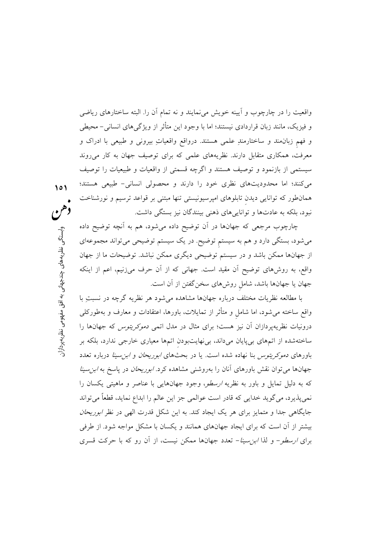واقعیت را در چارچوب و آیینه خویش می نمایند و نه تمام آن را. البته ساختارهای ریاضی و فیزیک، مانند زبان قراردادی نیستند؛ اما با وجود این متأثر از ویژگیهای انسانی– محیطی و فهم زبان مند و ساختارمندِ علمي هستند. درواقع واقعياتِ بيروني و طبيعي با ادراك و معرفت، همکاری متقابل دارند. نظریههای علمی که برای توصیف جهان به کار می روند سیستمی از بازنمود و توصیف هستند و اگرچه قسمتی از واقعیات و طبیعیات را توصیف می کنند؛ اما محدودیتهای نظری خود را دارند و محصولی انسانی- طبیعی هستند؛ همانطور که توانایی دیدن تابلوهای امپرسیونیستی تنها مبتنی بر قواعد ترسیم و نورشناخت نبود، بلکه به عادتها و تواناییهای ذهنی بینندگان نیز بستگی داشت.

101

وابستگم

نظریههای چندجهانی به افق مفهومی نظریهپردازار

چارچوب مرجعی که جهانها در آن توضیح داده می شود، هم به آنچه توضیح داده میشود، بستگی دارد و هم به سیستم توضیح. در یک سیستم توضیحی میتواند مجموعهای از جهانها ممکن باشد و در سیستم توضیحی دیگری ممکن نباشد. توضیحات ما از جهان واقع، به روشهای توضیح آن مقید است. جهانی که از آن حرف میزنیم، اعم از اینکه جهان یا جهانها باشد، شامل روشهای سخنگفتن از آن است.

با مطالعه نظريات مختلف درباره جهانها مشاهده مي شود هر نظريه گرچه در نسبتِ با واقع ساخته می شود، اما شامل و متأثر از تمایلات، باورها، اعتقادات و معارف و بهطورکلی درونیات نظریهپردازان آن نیز هست؛ برای مثال در مدل اتمی *دموکریتوس* که جهانها را ساختهشده از اتمهای بیپایان میداند، بینهایتبودن اتمها معیاری خارجی ندارد، بلکه بر باورهای د*موکریتوس بنا نهاده شده است. یا در بحثهای ابوریحان و ابن سینا درباره تعدد* جهانها می توان نقش باورهای آنان را بهروشنی مشاهده کرد. *ابوریحان* در پاسخ به *ابن سینا* که به دلیل تمایل و باور به نظریه *ارسطو، وجود جهانهایی با عناصر و ماهیتی یکسان ر*ا نمي پذيرد، مي گويد خدايي كه قادر است عوالمي جز اين عالم را ابداع نمايد، قطعاً مي تواند جایگاهی جدا و متمایز برای هر یک ایجاد کند. به این شکل قدرت الهی در نظر *ابوریحان* بیشتر از آن است که برای ایجاد جهانهای همانند و یکسان با مشکل مواجه شود. از طرفی برای *ارسطو- و لذا ابن سینا- تعدد جهانها ممکن نیست*، از آن رو که با حرکت قسری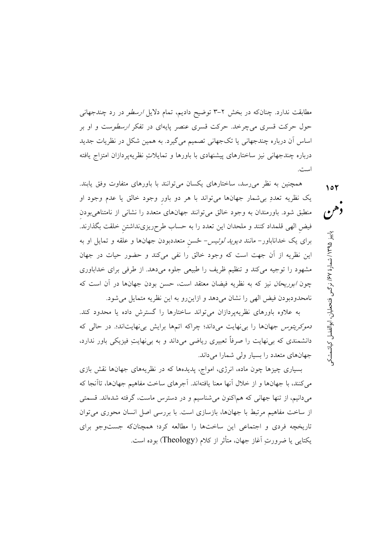مطابقت ندارد. چنانکه در بخش ۲–۳ توضیح دادیم، تمام دلایل *ارسطو* در رد چندجهان<sub>ی</sub> حول حرکت قسری میچرخد. حرکت قسری عنصر پایهای در تفکر *ارسطو*ست و او بر اساس آن درباره چندجهانی یا تکجهانی تصمیم میگیرد. به همین شکل در نظریات جدید درباره چندجهانی نیز ساختارهای پیشنهادی با باورها و تمایلاتِ نظریهپردازان امتزاج یافته است.

همچنین به نظر می رسد، ساختارهای یکسان می توانند با باورهای متفاوت وفق یابند. یک نظریه تعددِ بی شمار جهانها میتواند با هر دو باور وجود خالق یا عدم وجود او منطبق شود. باورمندان به وجود خالق می توانند جهانهای متعدد را نشانی از نامتناهی بودن فیض الهی قلمداد کنند و ملحدان این تعدد را به حساب طرحریزینداشتن خلقت بگذارند. برای یک خداناباور- مانند *دیوید لوئیس- ځسن* متعددبودن جهانها و علقه و تمایل او به این نظریه از آن جهت است که وجود خالق را نفی میکند و حضور حیات در جهان مشهود را توجیه میکند و تنظیم ظریف را طبیعی جلوه میدهد. از طرفی برای خداباوری چون *ابوریحان* نیز که به نظریه فیضان معتقد است، حسن بودن جهانها در آن است که نامحدودبودن فيض الهي را نشان مي دهد و ازاين رو به اين نظريه متمايل مي شود.

به علاوه باورهای نظریهپردازان می تواند ساختارها را گسترش داده یا محدود کند. د*موکریتوس* جهانها را بی نهایت می داند؛ چراکه اتمها برایش بی نهایت اند؛. در حالی که دانشمندی که بی نهایت را صرفاً تعبیری ریاضی میداند و به بی نهایتِ فیزیکی باور ندارد، جهانهای متعدد را بسیار ولی شمارا میداند.

بسیاری چیزها چون ماده، انرژی، امواج، پدیدهها که در نظریههای جهانها نقش بازی می کنند، با جهانها و از خلال آنها معنا یافتهاند. آجرهای ساخت مفاهیم جهانها، تاأنجا که مي دانيم، از تنها جهاني كه هماكنون مي شناسيم و در دسترس ماست، گرفته شدهاند. قسمتي از ساخت مفاهیم مرتبط با جهانها، بازسازی است. با بررسی اصل انسان محوری می توان تاریخچه فردی و اجتماعی این ساختها را مطالعه کرد؛ همچنانکه جستوجو برای يكتايي يا ضرورتِ آغاز جهان، متأثر از كلام (Theology) بوده است.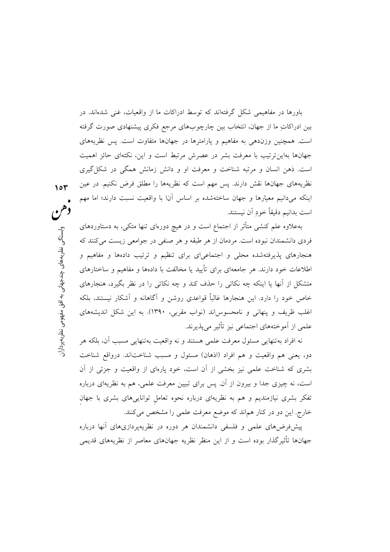باورها در مفاهیمی شکل گرفتهاند که توسط ادراکات ما از واقعیات، غنی شدهاند. در بین ادراکاتِ ما از جهان، انتخاب بین چارچوبهای مرجع فکری پیشنهادی صورت گرفته است. همچنین وزندهی به مفاهیم و پارامترها در جهانها متفاوت است. پس نظریههای جهانها بهاین ترتیب با معرفت بشر در عصرش مرتبط است و این، نکتهای حائز اهمیت است. ذهن انسان و مرتبه شناخت و معرفت او و دانش زمانش همگی در شکل گیری نظریههای جهانها نقش دارند. پس مهم است که نظریهها را مطلق فرض نکنیم. در عین اینکه میدانیم معیارها و جهان ساختهشده بر اساس آنا با واقعیت نسبت دارند؛ اما مهم است بدانيم دقيقاً خود آن نيستند.

بهعلاوه علم کنشی متأثر از اجتماع است و در هیچ دورمای تنها متکی، به دستاوردهای فردي دانشمندان نبوده است. مردمان از هر طبقه و هر صنفي در جوامعي زيست مي كنند كه هنجارهای پذیرفتهشده محلی و اجتماعیای برای تنظیم و ترتیب دادهها و مفاهیم و اطلاعات خود دارند. هر جامعهای برای تأیید یا مخالفت با دادهها و مفاهیم و ساختارهای متشکل از آنها یا اینکه چه نکاتی را حذف کند و چه نکاتی را در نظر بگیرد، هنجارهای خاص خود را دارد. این هنجارها غالباً قواعدی روشن و آگاهانه و آشکار نیستند، بلکه اغلب ظریف و پنهانی و نامحسوساند (نواب مقربی، ۱۳۹۰). به این شکل اندیشههای علمی از آموختههای اجتماعی نیز تأثیر می پذیرند.

نه افراد بهتنهایی مسئول معرفت علمی هستند و نه واقعیت بهتنهایی مسبب آن، بلکه هر دو، يعني هم واقعيت و هم افراد (اذهان) مسئول و مسبب شناختاند. درواقع شناخت بشری که شناخت علمی نیز بخشی از آن است، خود پارهای از واقعیت و جزئی از آن است، نه چیزی جدا و بیرون از آن. پس برای تبیین معرفت علمی، هم به نظریهای درباره تفکر بشری نیازمندیم و هم به نظریهای درباره نحوه تعامل تواناییهای بشری با جهان خارج. این دو در کنار هماند که موضع معرفت علمی را مشخص میکنند.

پیشفرضهای علمی و فلسفی دانشمندان هر دوره در نظریهپردازیهای آنها درباره جهانها تأثیرگذار بوده است و از این منظر نظریه جهانهای معاصر از نظریههای قدیمی

وابستگم نظریههای چندجهانی به افق مفهومی نظریهپردازار

 $\gamma$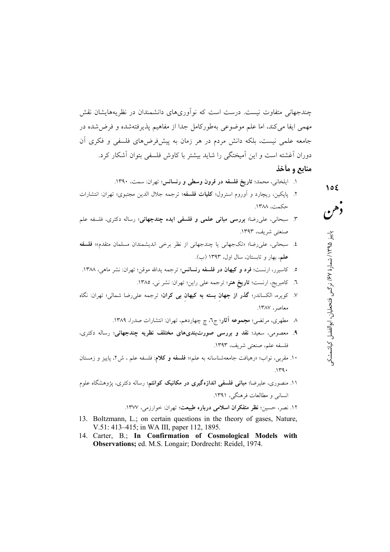چندجهانی متفاوت نیست. درست است که نوآوریهای دانشمندان در نظریههایشان نقش مهمی ایفا میکند، اما علم موضوعی بهطورکامل جدا از مفاهیم پذیرفتهشده و فرضشده در جامعه علمی نیست، بلکه دانش مردم در هر زمان به پیشفررضهای فلسفی و فکری آن دوران آغشته است و این آمیختگی را شاید بیشتر با کاوش فلسفی بتوان آشکار کرد.

منابع و مأخذ

- ١. ايلخاني، محمد؛ تاريخ فلسفه در قرون وسطى و رنسانس؛ تهران: سمت، ١٣٩٠.
- ۲. پاپکین، ریچارد و اَوروم استرول؛ **کلیات فلسفه**؛ ترجمه جلال الدین مجتبوی؛ تهران: انتشارات  $14\%$
- ۳. سبحانی، علی رضا؛ بررسی مبانی علمی و فلسفی ایده چندجهانی؛ رساله دکتری، فلسفه علم صنعتی شریف، ۱۳۹۳.
- ٤. سيحاني، على رضا؛ «تكجهاني يا چندجهاني از نظر برخي انديشمندان مسلمان متقدم»؛ فلسفه علم، بهار و تابستان، سال اول، ۱۳۹۳ (ب).
- ه. كاسيرر، ارنست؛ **فرد و كيهان در فلسفه رنسانس**؛ ترجمه يدالله موقن؛ تهران: نشر ماهي، ١٣٨٨.
	- ٦. كامبريج، ارنست؛ **تاريخ هنر**؛ ترجمه على راين؛ تهران: نشر ني، ١٣٨٥.
- ۷. کویره، الکساندر؛ **گذر از جهان بسته به کیهان بی کران**؛ ترجمه علیرضا شمالی؛ تهران: نگاه معاصر، ١٣٨٧.
	- ۸ مطهری، مرتضی؛ مجموعه آثار؛ ج٦، چ چهاردهم، تهران: انتشارات صدرا، ۱۳۸۹.
- ۹. معصومی، سعید؛ نقد و بررسی صورتبندیهای مختلف نظریه چندجهانی؛ رساله دکتری، فلسفه علم، صنعتي شريف، ١٣٩٣.
- ۱۰. مقربی، نواب؛ «رهیافت جامعهشناسانه به علم»؛ فلسفه و کلام: فلسفه علم ، ش۲، پاییز و زمستان  $.149.$
- ۱۱. منصوری، علیرضا؛ **مبانی فلسفی اندازهگیری در مکانیک کوانتم**؛ رساله دکتری، پژوهشگاه علوم انسانی و مطالعات فرهنگی، ۱۳۹۱.

۱۲. نصر، حسین؛ **نظر متفکران اسلامی درباره طبیعت**؛ تهران: خوارزمی، ۱۳۷۷.

- 13. Boltzmann, L.; on certain questions in the theory of gases, Nature, V.51: 413-415; in WA III, paper 112, 1895.
- 14. Carter, B.; In Confirmation of Cosmological Models with Observations; ed. M.S. Longair; Dordrecht: Reidel, 1974.

وخنن پاییز ۱۳۹۵/ شمارهٔ ۶۷/ نرگس فتحطیان، ابوالفضل کیاشمشکو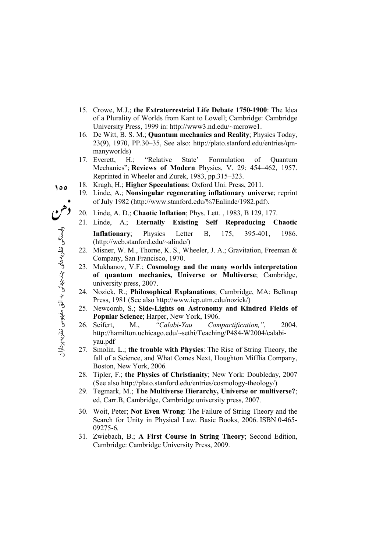- 15. Crowe, M.J.; **the Extraterrestrial Life Debate 1750-1900**: The Idea of a Plurality of Worlds from Kant to Lowell; Cambridge: Cambridge University Press, 1999 in: http://www3.nd.edu/~mcrowe1.
- 16. De Witt, B. S. M.; **Quantum mechanics and Reality**; Physics Today, 23(9), 1970, PP.30–35, See also: http://plato.stanford.edu/entries/qmmanyworlds)
- 17. Everett, H.; "Relative State' Formulation of Quantum Mechanics"; **Reviews of Modern** Physics, V. 29: 454–462, 1957. Reprinted in Wheeler and Zurek, 1983, pp.315–323.
- 18. Kragh, H.; **Higher Speculations**; Oxford Uni. Press, 2011.
	- 19. Linde, A.; **Nonsingular regenerating inflationary universe**; reprint of July 1982 (http://www.stanford.edu/%7Ealinde/1982.pdf).
	- 20. Linde, A. D.; **Chaotic Inflation**; Phys. Lett. , 1983, B 129, 177.
	- 21. Linde, A.; **Eternally Existing Self Reproducing Chaotic Inflationary**; Physics Letter B, 175, 395-401, 1986. (http://web.stanford.edu/~alinde/)
	- 22. Misner, W. M., Thorne, K. S., Wheeler, J. A.; Gravitation, Freeman & Company, San Francisco, 1970.
	- 23. Mukhanov, V.F.; **Cosmology and the many worlds interpretation of quantum mechanics, Universe or Multiverse**; Cambridge, university press, 2007.
	- 24. Nozick, R.; **Philosophical Explanations**; Cambridge, MA: Belknap Press, 1981 (See also http://www.iep.utm.edu/nozick/)
	- 25. Newcomb, S.; **Side-Lights on Astronomy and Kindred Fields of Popular Science**; Harper, New York, 1906.
	- 26. Seifert, M., *"Calabi-Yau Compactification,"*, 2004. http://hamilton.uchicago.edu/~sethi/Teaching/P484-W2004/calabiyau.pdf
	- 27. Smolin. L.; **the trouble with Physics**: The Rise of String Theory, the fall of a Science, and What Comes Next, Houghton Mifflia Company, Boston, New York, 2006*.*
	- 28. Tipler, F.; **the Physics of Christianity**; New York: Doubleday, 2007 (See also http://plato.stanford.edu/entries/cosmology-theology/)
	- 29. Tegmark, M.; **The Multiverse Hierarchy, Universe or multiverse?**; ed, Carr.B, Cambridge, Cambridge university press, 2007.
	- 30. Woit, Peter; **Not Even Wrong**: The Failure of String Theory and the Search for Unity in Physical Law. Basic Books, 2006. ISBN 0-465- 09275-6*.*
	- 31. Zwiebach, B.; **A First Course in String Theory**; Second Edition, Cambridge: Cambridge University Press, 2009.

**155**

وابستكي نظريه

ہے<br>و

چندجهانی<br>م

3. رو:

مفہومی نظریه

پر<u>دازان</u>